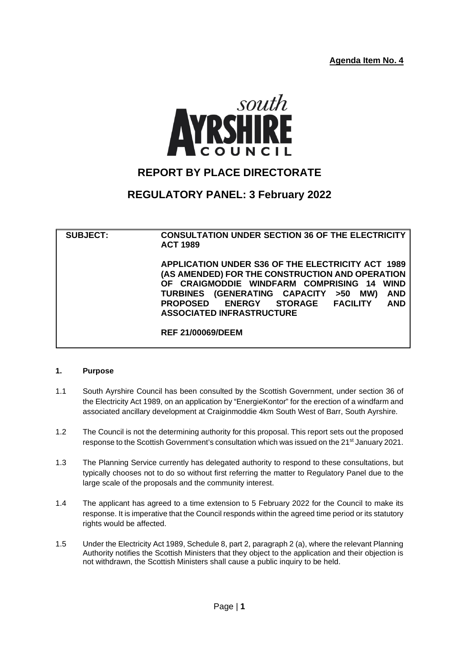**Agenda Item No. 4**



# **REPORT BY PLACE DIRECTORATE**

# **REGULATORY PANEL: 3 February 2022**

**SUBJECT: CONSULTATION UNDER SECTION 36 OF THE ELECTRICITY ACT 1989 APPLICATION UNDER S36 OF THE ELECTRICITY ACT 1989 (AS AMENDED) FOR THE CONSTRUCTION AND OPERATION OF CRAIGMODDIE WINDFARM COMPRISING 14 WIND TURBINES (GENERATING CAPACITY >50 MW) AND PROPOSED ASSOCIATED INFRASTRUCTURE REF 21/00069/DEEM**

### **1. Purpose**

- 1.1 South Ayrshire Council has been consulted by the Scottish Government, under section 36 of the Electricity Act 1989, on an application by "EnergieKontor" for the erection of a windfarm and associated ancillary development at Craiginmoddie 4km South West of Barr, South Ayrshire.
- 1.2 The Council is not the determining authority for this proposal. This report sets out the proposed response to the Scottish Government's consultation which was issued on the 21<sup>st</sup> January 2021.
- 1.3 The Planning Service currently has delegated authority to respond to these consultations, but typically chooses not to do so without first referring the matter to Regulatory Panel due to the large scale of the proposals and the community interest.
- 1.4 The applicant has agreed to a time extension to 5 February 2022 for the Council to make its response. It is imperative that the Council responds within the agreed time period or its statutory rights would be affected.
- 1.5 Under the Electricity Act 1989, Schedule 8, part 2, paragraph 2 (a), where the relevant Planning Authority notifies the Scottish Ministers that they object to the application and their objection is not withdrawn, the Scottish Ministers shall cause a public inquiry to be held.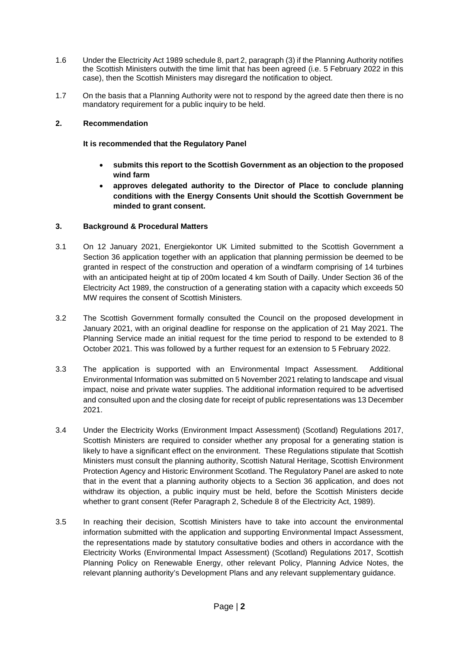- 1.6 Under the Electricity Act 1989 schedule 8, part 2, paragraph (3) if the Planning Authority notifies the Scottish Ministers outwith the time limit that has been agreed (i.e. 5 February 2022 in this case), then the Scottish Ministers may disregard the notification to object.
- 1.7 On the basis that a Planning Authority were not to respond by the agreed date then there is no mandatory requirement for a public inquiry to be held.

### **2. Recommendation**

### **It is recommended that the Regulatory Panel**

- **submits this report to the Scottish Government as an objection to the proposed wind farm**
- **approves delegated authority to the Director of Place to conclude planning conditions with the Energy Consents Unit should the Scottish Government be minded to grant consent.**

# **3. Background & Procedural Matters**

- 3.1 On 12 January 2021, Energiekontor UK Limited submitted to the Scottish Government a Section 36 application together with an application that planning permission be deemed to be granted in respect of the construction and operation of a windfarm comprising of 14 turbines with an anticipated height at tip of 200m located 4 km South of Dailly. Under Section 36 of the Electricity Act 1989, the construction of a generating station with a capacity which exceeds 50 MW requires the consent of Scottish Ministers.
- 3.2 The Scottish Government formally consulted the Council on the proposed development in January 2021, with an original deadline for response on the application of 21 May 2021. The Planning Service made an initial request for the time period to respond to be extended to 8 October 2021. This was followed by a further request for an extension to 5 February 2022.
- 3.3 The application is supported with an Environmental Impact Assessment. Additional Environmental Information was submitted on 5 November 2021 relating to landscape and visual impact, noise and private water supplies. The additional information required to be advertised and consulted upon and the closing date for receipt of public representations was 13 December 2021.
- 3.4 Under the Electricity Works (Environment Impact Assessment) (Scotland) Regulations 2017, Scottish Ministers are required to consider whether any proposal for a generating station is likely to have a significant effect on the environment. These Regulations stipulate that Scottish Ministers must consult the planning authority, Scottish Natural Heritage, Scottish Environment Protection Agency and Historic Environment Scotland. The Regulatory Panel are asked to note that in the event that a planning authority objects to a Section 36 application, and does not withdraw its objection, a public inquiry must be held, before the Scottish Ministers decide whether to grant consent (Refer Paragraph 2, Schedule 8 of the Electricity Act, 1989).
- 3.5 In reaching their decision, Scottish Ministers have to take into account the environmental information submitted with the application and supporting Environmental Impact Assessment, the representations made by statutory consultative bodies and others in accordance with the Electricity Works (Environmental Impact Assessment) (Scotland) Regulations 2017, Scottish Planning Policy on Renewable Energy, other relevant Policy, Planning Advice Notes, the relevant planning authority's Development Plans and any relevant supplementary guidance.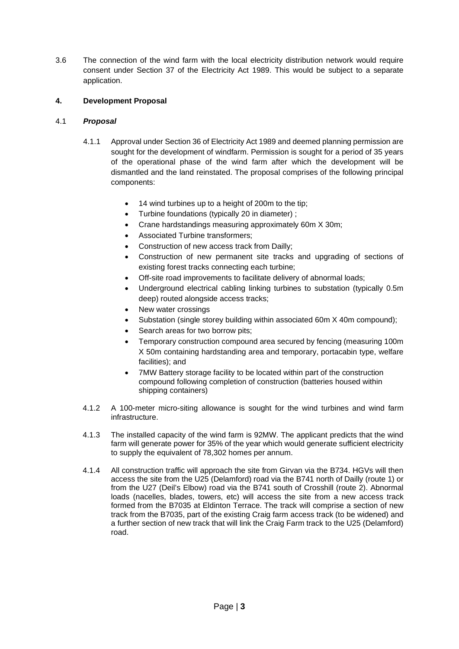3.6 The connection of the wind farm with the local electricity distribution network would require consent under Section 37 of the Electricity Act 1989. This would be subject to a separate application.

# **4. Development Proposal**

# 4.1 *Proposal*

- 4.1.1 Approval under Section 36 of Electricity Act 1989 and deemed planning permission are sought for the development of windfarm. Permission is sought for a period of 35 years of the operational phase of the wind farm after which the development will be dismantled and the land reinstated. The proposal comprises of the following principal components:
	- 14 wind turbines up to a height of 200m to the tip:
	- Turbine foundations (typically 20 in diameter) ;
	- Crane hardstandings measuring approximately 60m X 30m;
	- Associated Turbine transformers;
	- Construction of new access track from Dailly;
	- Construction of new permanent site tracks and upgrading of sections of existing forest tracks connecting each turbine;
	- Off-site road improvements to facilitate delivery of abnormal loads;
	- Underground electrical cabling linking turbines to substation (typically 0.5m deep) routed alongside access tracks;
	- New water crossings
	- Substation (single storey building within associated 60m X 40m compound);
	- Search areas for two borrow pits;
	- Temporary construction compound area secured by fencing (measuring 100m X 50m containing hardstanding area and temporary, portacabin type, welfare facilities); and
	- 7MW Battery storage facility to be located within part of the construction compound following completion of construction (batteries housed within shipping containers)
- 4.1.2 A 100-meter micro-siting allowance is sought for the wind turbines and wind farm infrastructure.
- 4.1.3 The installed capacity of the wind farm is 92MW. The applicant predicts that the wind farm will generate power for 35% of the year which would generate sufficient electricity to supply the equivalent of 78,302 homes per annum.
- 4.1.4 All construction traffic will approach the site from Girvan via the B734. HGVs will then access the site from the U25 (Delamford) road via the B741 north of Dailly (route 1) or from the U27 (Deil's Elbow) road via the B741 south of Crosshill (route 2). Abnormal loads (nacelles, blades, towers, etc) will access the site from a new access track formed from the B7035 at Eldinton Terrace. The track will comprise a section of new track from the B7035, part of the existing Craig farm access track (to be widened) and a further section of new track that will link the Craig Farm track to the U25 (Delamford) road.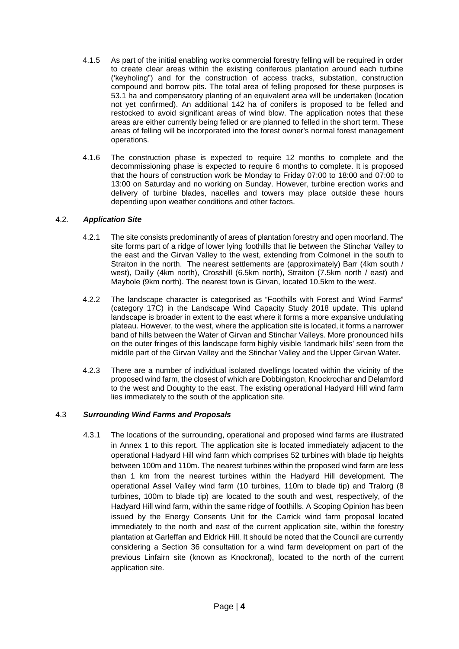- 4.1.5 As part of the initial enabling works commercial forestry felling will be required in order to create clear areas within the existing coniferous plantation around each turbine ('keyholing") and for the construction of access tracks, substation, construction compound and borrow pits. The total area of felling proposed for these purposes is 53.1 ha and compensatory planting of an equivalent area will be undertaken (location not yet confirmed). An additional 142 ha of conifers is proposed to be felled and restocked to avoid significant areas of wind blow. The application notes that these areas are either currently being felled or are planned to felled in the short term. These areas of felling will be incorporated into the forest owner's normal forest management operations.
- 4.1.6 The construction phase is expected to require 12 months to complete and the decommissioning phase is expected to require 6 months to complete. It is proposed that the hours of construction work be Monday to Friday 07:00 to 18:00 and 07:00 to 13:00 on Saturday and no working on Sunday. However, turbine erection works and delivery of turbine blades, nacelles and towers may place outside these hours depending upon weather conditions and other factors.

### 4.2. *Application Site*

- 4.2.1 The site consists predominantly of areas of plantation forestry and open moorland. The site forms part of a ridge of lower lying foothills that lie between the Stinchar Valley to the east and the Girvan Valley to the west, extending from Colmonel in the south to Straiton in the north. The nearest settlements are (approximately) Barr (4km south / west), Dailly (4km north), Crosshill (6.5km north), Straiton (7.5km north / east) and Maybole (9km north). The nearest town is Girvan, located 10.5km to the west.
- 4.2.2 The landscape character is categorised as "Foothills with Forest and Wind Farms" (category 17C) in the Landscape Wind Capacity Study 2018 update. This upland landscape is broader in extent to the east where it forms a more expansive undulating plateau. However, to the west, where the application site is located, it forms a narrower band of hills between the Water of Girvan and Stinchar Valleys. More pronounced hills on the outer fringes of this landscape form highly visible 'landmark hills' seen from the middle part of the Girvan Valley and the Stinchar Valley and the Upper Girvan Water.
- 4.2.3 There are a number of individual isolated dwellings located within the vicinity of the proposed wind farm, the closest of which are Dobbingston, Knockrochar and Delamford to the west and Doughty to the east. The existing operational Hadyard Hill wind farm lies immediately to the south of the application site.

# 4.3 *Surrounding Wind Farms and Proposals*

4.3.1 The locations of the surrounding, operational and proposed wind farms are illustrated in Annex 1 to this report. The application site is located immediately adjacent to the operational Hadyard Hill wind farm which comprises 52 turbines with blade tip heights between 100m and 110m. The nearest turbines within the proposed wind farm are less than 1 km from the nearest turbines within the Hadyard Hill development. The operational Assel Valley wind farm (10 turbines, 110m to blade tip) and Tralorg (8 turbines, 100m to blade tip) are located to the south and west, respectively, of the Hadyard Hill wind farm, within the same ridge of foothills. A Scoping Opinion has been issued by the Energy Consents Unit for the Carrick wind farm proposal located immediately to the north and east of the current application site, within the forestry plantation at Garleffan and Eldrick Hill. It should be noted that the Council are currently considering a Section 36 consultation for a wind farm development on part of the previous Linfairn site (known as Knockronal), located to the north of the current application site.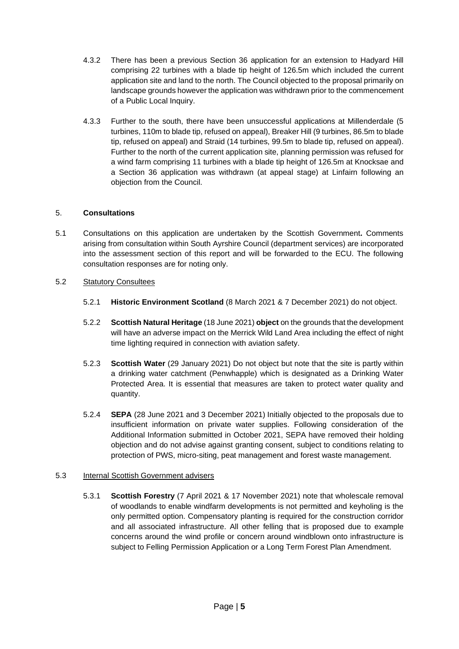- 4.3.2 There has been a previous Section 36 application for an extension to Hadyard Hill comprising 22 turbines with a blade tip height of 126.5m which included the current application site and land to the north. The Council objected to the proposal primarily on landscape grounds however the application was withdrawn prior to the commencement of a Public Local Inquiry.
- 4.3.3 Further to the south, there have been unsuccessful applications at Millenderdale (5 turbines, 110m to blade tip, refused on appeal), Breaker Hill (9 turbines, 86.5m to blade tip, refused on appeal) and Straid (14 turbines, 99.5m to blade tip, refused on appeal). Further to the north of the current application site, planning permission was refused for a wind farm comprising 11 turbines with a blade tip height of 126.5m at Knocksae and a Section 36 application was withdrawn (at appeal stage) at Linfairn following an objection from the Council.

# 5. **Consultations**

5.1 Consultations on this application are undertaken by the Scottish Government**.** Comments arising from consultation within South Ayrshire Council (department services) are incorporated into the assessment section of this report and will be forwarded to the ECU. The following consultation responses are for noting only.

# 5.2 Statutory Consultees

- 5.2.1 **Historic Environment Scotland** (8 March 2021 & 7 December 2021) do not object.
- 5.2.2 **Scottish Natural Heritage** (18 June 2021) **object** on the grounds that the development will have an adverse impact on the Merrick Wild Land Area including the effect of night time lighting required in connection with aviation safety.
- 5.2.3 **Scottish Water** (29 January 2021) Do not object but note that the site is partly within a drinking water catchment (Penwhapple) which is designated as a Drinking Water Protected Area. It is essential that measures are taken to protect water quality and quantity.
- 5.2.4 **SEPA** (28 June 2021 and 3 December 2021) Initially objected to the proposals due to insufficient information on private water supplies. Following consideration of the Additional Information submitted in October 2021, SEPA have removed their holding objection and do not advise against granting consent, subject to conditions relating to protection of PWS, micro-siting, peat management and forest waste management.

### 5.3 Internal Scottish Government advisers

5.3.1 **Scottish Forestry** (7 April 2021 & 17 November 2021) note that wholescale removal of woodlands to enable windfarm developments is not permitted and keyholing is the only permitted option. Compensatory planting is required for the construction corridor and all associated infrastructure. All other felling that is proposed due to example concerns around the wind profile or concern around windblown onto infrastructure is subject to Felling Permission Application or a Long Term Forest Plan Amendment.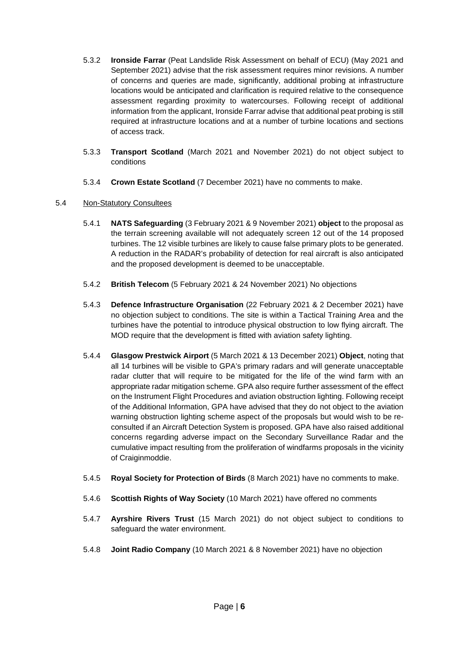- 5.3.2 **Ironside Farrar** (Peat Landslide Risk Assessment on behalf of ECU) (May 2021 and September 2021) advise that the risk assessment requires minor revisions. A number of concerns and queries are made, significantly, additional probing at infrastructure locations would be anticipated and clarification is required relative to the consequence assessment regarding proximity to watercourses. Following receipt of additional information from the applicant, Ironside Farrar advise that additional peat probing is still required at infrastructure locations and at a number of turbine locations and sections of access track.
- 5.3.3 **Transport Scotland** (March 2021 and November 2021) do not object subject to conditions
- 5.3.4 **Crown Estate Scotland** (7 December 2021) have no comments to make.

# 5.4 Non-Statutory Consultees

- 5.4.1 **NATS Safeguarding** (3 February 2021 & 9 November 2021) **object** to the proposal as the terrain screening available will not adequately screen 12 out of the 14 proposed turbines. The 12 visible turbines are likely to cause false primary plots to be generated. A reduction in the RADAR's probability of detection for real aircraft is also anticipated and the proposed development is deemed to be unacceptable.
- 5.4.2 **British Telecom** (5 February 2021 & 24 November 2021) No objections
- 5.4.3 **Defence Infrastructure Organisation** (22 February 2021 & 2 December 2021) have no objection subject to conditions. The site is within a Tactical Training Area and the turbines have the potential to introduce physical obstruction to low flying aircraft. The MOD require that the development is fitted with aviation safety lighting.
- 5.4.4 **Glasgow Prestwick Airport** (5 March 2021 & 13 December 2021) **Object**, noting that all 14 turbines will be visible to GPA's primary radars and will generate unacceptable radar clutter that will require to be mitigated for the life of the wind farm with an appropriate radar mitigation scheme. GPA also require further assessment of the effect on the Instrument Flight Procedures and aviation obstruction lighting. Following receipt of the Additional Information, GPA have advised that they do not object to the aviation warning obstruction lighting scheme aspect of the proposals but would wish to be reconsulted if an Aircraft Detection System is proposed. GPA have also raised additional concerns regarding adverse impact on the Secondary Surveillance Radar and the cumulative impact resulting from the proliferation of windfarms proposals in the vicinity of Craiginmoddie.
- 5.4.5 **Royal Society for Protection of Birds** (8 March 2021) have no comments to make.
- 5.4.6 **Scottish Rights of Way Society** (10 March 2021) have offered no comments
- 5.4.7 **Ayrshire Rivers Trust** (15 March 2021) do not object subject to conditions to safeguard the water environment.
- 5.4.8 **Joint Radio Company** (10 March 2021 & 8 November 2021) have no objection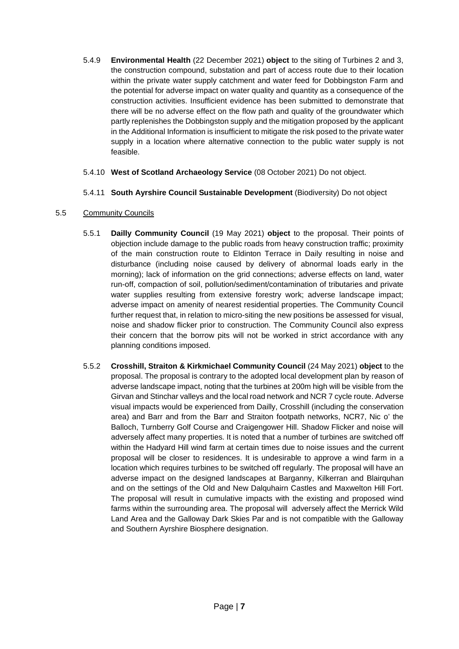- 5.4.9 **Environmental Health** (22 December 2021) **object** to the siting of Turbines 2 and 3, the construction compound, substation and part of access route due to their location within the private water supply catchment and water feed for Dobbingston Farm and the potential for adverse impact on water quality and quantity as a consequence of the construction activities. Insufficient evidence has been submitted to demonstrate that there will be no adverse effect on the flow path and quality of the groundwater which partly replenishes the Dobbingston supply and the mitigation proposed by the applicant in the Additional Information is insufficient to mitigate the risk posed to the private water supply in a location where alternative connection to the public water supply is not feasible.
- 5.4.10 **West of Scotland Archaeology Service** (08 October 2021) Do not object.
- 5.4.11 **South Ayrshire Council Sustainable Development** (Biodiversity) Do not object
- 5.5 Community Councils
	- 5.5.1 **Dailly Community Council** (19 May 2021) **object** to the proposal. Their points of objection include damage to the public roads from heavy construction traffic; proximity of the main construction route to Eldinton Terrace in Daily resulting in noise and disturbance (including noise caused by delivery of abnormal loads early in the morning); lack of information on the grid connections; adverse effects on land, water run-off, compaction of soil, pollution/sediment/contamination of tributaries and private water supplies resulting from extensive forestry work; adverse landscape impact; adverse impact on amenity of nearest residential properties. The Community Council further request that, in relation to micro-siting the new positions be assessed for visual, noise and shadow flicker prior to construction. The Community Council also express their concern that the borrow pits will not be worked in strict accordance with any planning conditions imposed.
	- 5.5.2 **Crosshill, Straiton & Kirkmichael Community Council** (24 May 2021) **object** to the proposal. The proposal is contrary to the adopted local development plan by reason of adverse landscape impact, noting that the turbines at 200m high will be visible from the Girvan and Stinchar valleys and the local road network and NCR 7 cycle route. Adverse visual impacts would be experienced from Dailly, Crosshill (including the conservation area) and Barr and from the Barr and Straiton footpath networks, NCR7, Nic o' the Balloch, Turnberry Golf Course and Craigengower Hill. Shadow Flicker and noise will adversely affect many properties. It is noted that a number of turbines are switched off within the Hadyard Hill wind farm at certain times due to noise issues and the current proposal will be closer to residences. It is undesirable to approve a wind farm in a location which requires turbines to be switched off regularly. The proposal will have an adverse impact on the designed landscapes at Barganny, Kilkerran and Blairquhan and on the settings of the Old and New Dalquhairn Castles and Maxwelton Hill Fort. The proposal will result in cumulative impacts with the existing and proposed wind farms within the surrounding area. The proposal will adversely affect the Merrick Wild Land Area and the Galloway Dark Skies Par and is not compatible with the Galloway and Southern Ayrshire Biosphere designation.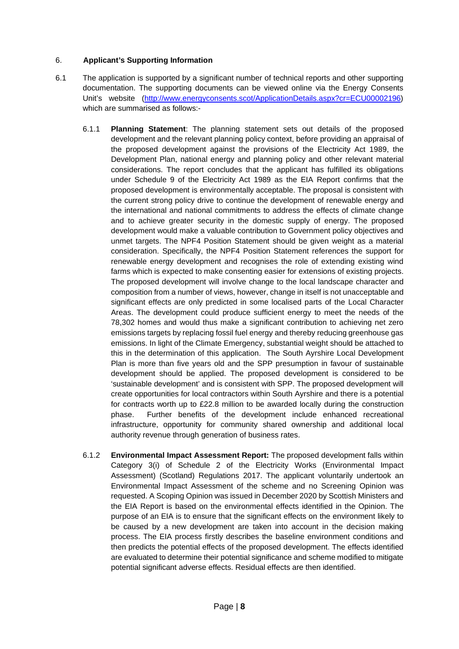# 6. **Applicant's Supporting Information**

- 6.1 The application is supported by a significant number of technical reports and other supporting documentation. The supporting documents can be viewed online via the Energy Consents Unit's website [\(http://www.energyconsents.scot/ApplicationDetails.aspx?cr=ECU00002196\)](http://www.energyconsents.scot/ApplicationDetails.aspx?cr=ECU00002196) which are summarised as follows:-
	- 6.1.1 **Planning Statement**: The planning statement sets out details of the proposed development and the relevant planning policy context, before providing an appraisal of the proposed development against the provisions of the Electricity Act 1989, the Development Plan, national energy and planning policy and other relevant material considerations. The report concludes that the applicant has fulfilled its obligations under Schedule 9 of the Electricity Act 1989 as the EIA Report confirms that the proposed development is environmentally acceptable. The proposal is consistent with the current strong policy drive to continue the development of renewable energy and the international and national commitments to address the effects of climate change and to achieve greater security in the domestic supply of energy. The proposed development would make a valuable contribution to Government policy objectives and unmet targets. The NPF4 Position Statement should be given weight as a material consideration. Specifically, the NPF4 Position Statement references the support for renewable energy development and recognises the role of extending existing wind farms which is expected to make consenting easier for extensions of existing projects. The proposed development will involve change to the local landscape character and composition from a number of views, however, change in itself is not unacceptable and significant effects are only predicted in some localised parts of the Local Character Areas. The development could produce sufficient energy to meet the needs of the 78,302 homes and would thus make a significant contribution to achieving net zero emissions targets by replacing fossil fuel energy and thereby reducing greenhouse gas emissions. In light of the Climate Emergency, substantial weight should be attached to this in the determination of this application. The South Ayrshire Local Development Plan is more than five years old and the SPP presumption in favour of sustainable development should be applied. The proposed development is considered to be 'sustainable development' and is consistent with SPP. The proposed development will create opportunities for local contractors within South Ayrshire and there is a potential for contracts worth up to £22.8 million to be awarded locally during the construction phase. Further benefits of the development include enhanced recreational infrastructure, opportunity for community shared ownership and additional local authority revenue through generation of business rates.
	- 6.1.2 **Environmental Impact Assessment Report:** The proposed development falls within Category 3(i) of Schedule 2 of the Electricity Works (Environmental Impact Assessment) (Scotland) Regulations 2017. The applicant voluntarily undertook an Environmental Impact Assessment of the scheme and no Screening Opinion was requested. A Scoping Opinion was issued in December 2020 by Scottish Ministers and the EIA Report is based on the environmental effects identified in the Opinion. The purpose of an EIA is to ensure that the significant effects on the environment likely to be caused by a new development are taken into account in the decision making process. The EIA process firstly describes the baseline environment conditions and then predicts the potential effects of the proposed development. The effects identified are evaluated to determine their potential significance and scheme modified to mitigate potential significant adverse effects. Residual effects are then identified.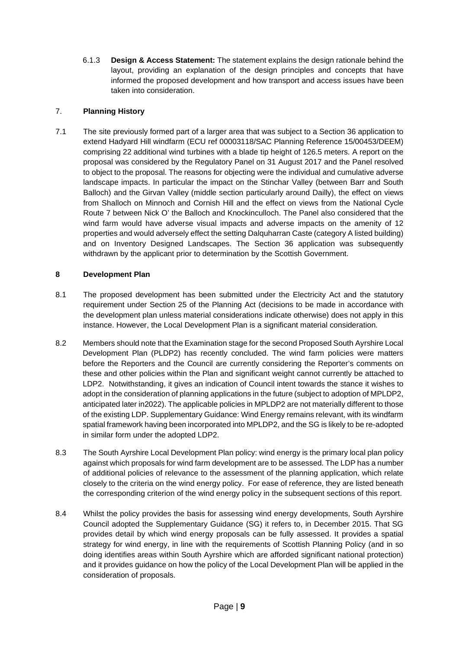6.1.3 **Design & Access Statement:** The statement explains the design rationale behind the layout, providing an explanation of the design principles and concepts that have informed the proposed development and how transport and access issues have been taken into consideration.

# 7. **Planning History**

7.1 The site previously formed part of a larger area that was subject to a Section 36 application to extend Hadyard Hill windfarm (ECU ref 00003118/SAC Planning Reference 15/00453/DEEM) comprising 22 additional wind turbines with a blade tip height of 126.5 meters. A report on the proposal was considered by the Regulatory Panel on 31 August 2017 and the Panel resolved to object to the proposal. The reasons for objecting were the individual and cumulative adverse landscape impacts. In particular the impact on the Stinchar Valley (between Barr and South Balloch) and the Girvan Valley (middle section particularly around Dailly), the effect on views from Shalloch on Minnoch and Cornish Hill and the effect on views from the National Cycle Route 7 between Nick O' the Balloch and Knockinculloch. The Panel also considered that the wind farm would have adverse visual impacts and adverse impacts on the amenity of 12 properties and would adversely effect the setting Dalquharran Caste (category A listed building) and on Inventory Designed Landscapes. The Section 36 application was subsequently withdrawn by the applicant prior to determination by the Scottish Government.

# **8 Development Plan**

- 8.1 The proposed development has been submitted under the Electricity Act and the statutory requirement under Section 25 of the Planning Act (decisions to be made in accordance with the development plan unless material considerations indicate otherwise) does not apply in this instance. However, the Local Development Plan is a significant material consideration.
- 8.2 Members should note that the Examination stage for the second Proposed South Ayrshire Local Development Plan (PLDP2) has recently concluded. The wind farm policies were matters before the Reporters and the Council are currently considering the Reporter's comments on these and other policies within the Plan and significant weight cannot currently be attached to LDP2. Notwithstanding, it gives an indication of Council intent towards the stance it wishes to adopt in the consideration of planning applications in the future (subject to adoption of MPLDP2, anticipated later in2022). The applicable policies in MPLDP2 are not materially different to those of the existing LDP. Supplementary Guidance: Wind Energy remains relevant, with its windfarm spatial framework having been incorporated into MPLDP2, and the SG is likely to be re-adopted in similar form under the adopted LDP2.
- 8.3 The South Ayrshire Local Development Plan policy: wind energy is the primary local plan policy against which proposals for wind farm development are to be assessed. The LDP has a number of additional policies of relevance to the assessment of the planning application, which relate closely to the criteria on the wind energy policy. For ease of reference, they are listed beneath the corresponding criterion of the wind energy policy in the subsequent sections of this report.
- 8.4 Whilst the policy provides the basis for assessing wind energy developments, South Ayrshire Council adopted the Supplementary Guidance (SG) it refers to, in December 2015. That SG provides detail by which wind energy proposals can be fully assessed. It provides a spatial strategy for wind energy, in line with the requirements of Scottish Planning Policy (and in so doing identifies areas within South Ayrshire which are afforded significant national protection) and it provides guidance on how the policy of the Local Development Plan will be applied in the consideration of proposals.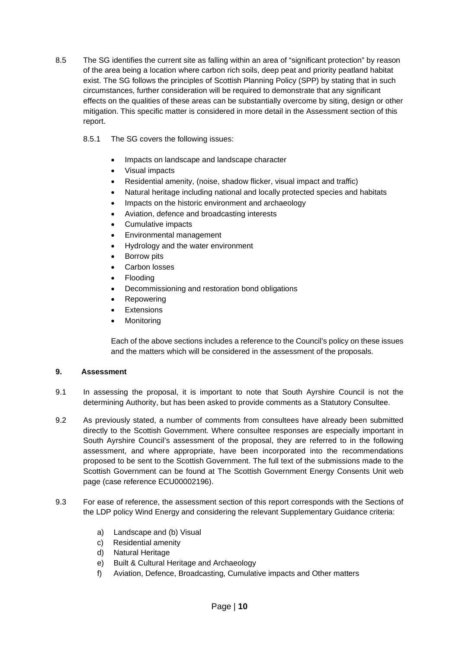- 8.5 The SG identifies the current site as falling within an area of "significant protection" by reason of the area being a location where carbon rich soils, deep peat and priority peatland habitat exist. The SG follows the principles of Scottish Planning Policy (SPP) by stating that in such circumstances, further consideration will be required to demonstrate that any significant effects on the qualities of these areas can be substantially overcome by siting, design or other mitigation. This specific matter is considered in more detail in the Assessment section of this report.
	- 8.5.1 The SG covers the following issues:
		- Impacts on landscape and landscape character
		- Visual impacts
		- Residential amenity, (noise, shadow flicker, visual impact and traffic)
		- Natural heritage including national and locally protected species and habitats
		- Impacts on the historic environment and archaeology
		- Aviation, defence and broadcasting interests
		- Cumulative impacts
		- Environmental management
		- Hydrology and the water environment
		- **Borrow pits**
		- Carbon losses
		- Flooding
		- Decommissioning and restoration bond obligations
		- **Repowering**
		- **Extensions**
		- **Monitoring**

Each of the above sections includes a reference to the Council's policy on these issues and the matters which will be considered in the assessment of the proposals.

### **9. Assessment**

- 9.1 In assessing the proposal, it is important to note that South Ayrshire Council is not the determining Authority, but has been asked to provide comments as a Statutory Consultee.
- 9.2 As previously stated, a number of comments from consultees have already been submitted directly to the Scottish Government. Where consultee responses are especially important in South Ayrshire Council's assessment of the proposal, they are referred to in the following assessment, and where appropriate, have been incorporated into the recommendations proposed to be sent to the Scottish Government. The full text of the submissions made to the Scottish Government can be found at The Scottish Government Energy Consents Unit web page (case reference ECU00002196).
- 9.3 For ease of reference, the assessment section of this report corresponds with the Sections of the LDP policy Wind Energy and considering the relevant Supplementary Guidance criteria:
	- a) Landscape and (b) Visual
	- c) Residential amenity
	- d) Natural Heritage
	- e) Built & Cultural Heritage and Archaeology
	- f) Aviation, Defence, Broadcasting, Cumulative impacts and Other matters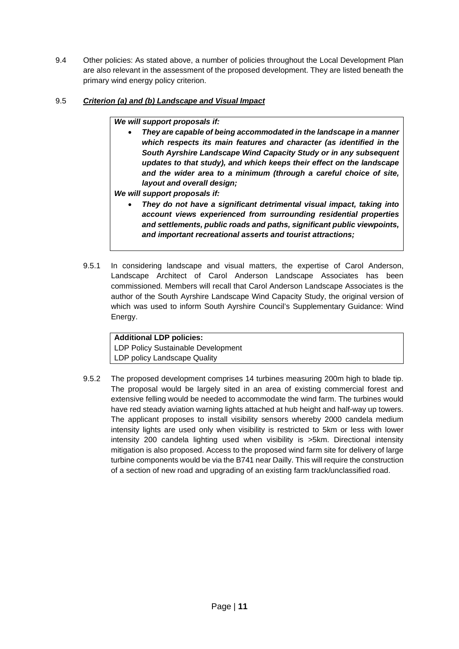9.4 Other policies: As stated above, a number of policies throughout the Local Development Plan are also relevant in the assessment of the proposed development. They are listed beneath the primary wind energy policy criterion.

# 9.5 *Criterion (a) and (b) Landscape and Visual Impact*

# *We will support proposals if:*

• *They are capable of being accommodated in the landscape in a manner which respects its main features and character (as identified in the South Ayrshire Landscape Wind Capacity Study or in any subsequent updates to that study), and which keeps their effect on the landscape and the wider area to a minimum (through a careful choice of site, layout and overall design;*

*We will support proposals if:*

- *They do not have a significant detrimental visual impact, taking into account views experienced from surrounding residential properties and settlements, public roads and paths, significant public viewpoints, and important recreational asserts and tourist attractions;*
- 9.5.1 In considering landscape and visual matters, the expertise of Carol Anderson, Landscape Architect of Carol Anderson Landscape Associates has been commissioned. Members will recall that Carol Anderson Landscape Associates is the author of the South Ayrshire Landscape Wind Capacity Study, the original version of which was used to inform South Ayrshire Council's Supplementary Guidance: Wind Energy.

# **Additional LDP policies:**

LDP Policy Sustainable Development LDP policy Landscape Quality

9.5.2 The proposed development comprises 14 turbines measuring 200m high to blade tip. The proposal would be largely sited in an area of existing commercial forest and extensive felling would be needed to accommodate the wind farm. The turbines would have red steady aviation warning lights attached at hub height and half-way up towers. The applicant proposes to install visibility sensors whereby 2000 candela medium intensity lights are used only when visibility is restricted to 5km or less with lower intensity 200 candela lighting used when visibility is >5km. Directional intensity mitigation is also proposed. Access to the proposed wind farm site for delivery of large turbine components would be via the B741 near Dailly. This will require the construction of a section of new road and upgrading of an existing farm track/unclassified road.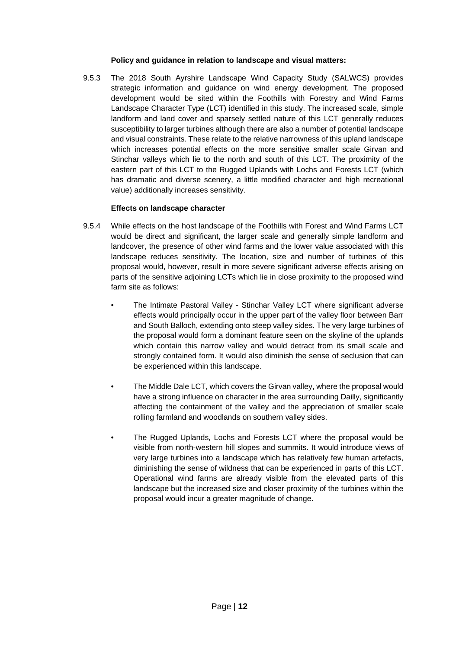### **Policy and guidance in relation to landscape and visual matters:**

9.5.3 The 2018 South Ayrshire Landscape Wind Capacity Study (SALWCS) provides strategic information and guidance on wind energy development. The proposed development would be sited within the Foothills with Forestry and Wind Farms Landscape Character Type (LCT) identified in this study. The increased scale, simple landform and land cover and sparsely settled nature of this LCT generally reduces susceptibility to larger turbines although there are also a number of potential landscape and visual constraints. These relate to the relative narrowness of this upland landscape which increases potential effects on the more sensitive smaller scale Girvan and Stinchar valleys which lie to the north and south of this LCT. The proximity of the eastern part of this LCT to the Rugged Uplands with Lochs and Forests LCT (which has dramatic and diverse scenery, a little modified character and high recreational value) additionally increases sensitivity.

# **Effects on landscape character**

- 9.5.4 While effects on the host landscape of the Foothills with Forest and Wind Farms LCT would be direct and significant, the larger scale and generally simple landform and landcover, the presence of other wind farms and the lower value associated with this landscape reduces sensitivity. The location, size and number of turbines of this proposal would, however, result in more severe significant adverse effects arising on parts of the sensitive adjoining LCTs which lie in close proximity to the proposed wind farm site as follows:
	- The Intimate Pastoral Valley Stinchar Valley LCT where significant adverse effects would principally occur in the upper part of the valley floor between Barr and South Balloch, extending onto steep valley sides. The very large turbines of the proposal would form a dominant feature seen on the skyline of the uplands which contain this narrow valley and would detract from its small scale and strongly contained form. It would also diminish the sense of seclusion that can be experienced within this landscape.
	- The Middle Dale LCT, which covers the Girvan valley, where the proposal would have a strong influence on character in the area surrounding Dailly, significantly affecting the containment of the valley and the appreciation of smaller scale rolling farmland and woodlands on southern valley sides.
	- The Rugged Uplands, Lochs and Forests LCT where the proposal would be visible from north-western hill slopes and summits. It would introduce views of very large turbines into a landscape which has relatively few human artefacts, diminishing the sense of wildness that can be experienced in parts of this LCT. Operational wind farms are already visible from the elevated parts of this landscape but the increased size and closer proximity of the turbines within the proposal would incur a greater magnitude of change.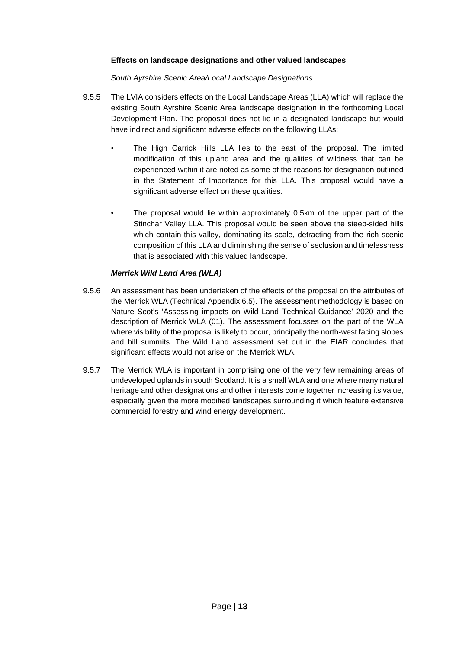# **Effects on landscape designations and other valued landscapes**

*South Ayrshire Scenic Area/Local Landscape Designations*

- 9.5.5 The LVIA considers effects on the Local Landscape Areas (LLA) which will replace the existing South Ayrshire Scenic Area landscape designation in the forthcoming Local Development Plan. The proposal does not lie in a designated landscape but would have indirect and significant adverse effects on the following LLAs:
	- The High Carrick Hills LLA lies to the east of the proposal. The limited modification of this upland area and the qualities of wildness that can be experienced within it are noted as some of the reasons for designation outlined in the Statement of Importance for this LLA. This proposal would have a significant adverse effect on these qualities.
	- The proposal would lie within approximately 0.5km of the upper part of the Stinchar Valley LLA. This proposal would be seen above the steep-sided hills which contain this valley, dominating its scale, detracting from the rich scenic composition of this LLA and diminishing the sense of seclusion and timelessness that is associated with this valued landscape.

# *Merrick Wild Land Area (WLA)*

- 9.5.6 An assessment has been undertaken of the effects of the proposal on the attributes of the Merrick WLA (Technical Appendix 6.5). The assessment methodology is based on Nature Scot's 'Assessing impacts on Wild Land Technical Guidance' 2020 and the description of Merrick WLA (01). The assessment focusses on the part of the WLA where visibility of the proposal is likely to occur, principally the north-west facing slopes and hill summits. The Wild Land assessment set out in the EIAR concludes that significant effects would not arise on the Merrick WLA.
- 9.5.7 The Merrick WLA is important in comprising one of the very few remaining areas of undeveloped uplands in south Scotland. It is a small WLA and one where many natural heritage and other designations and other interests come together increasing its value, especially given the more modified landscapes surrounding it which feature extensive commercial forestry and wind energy development.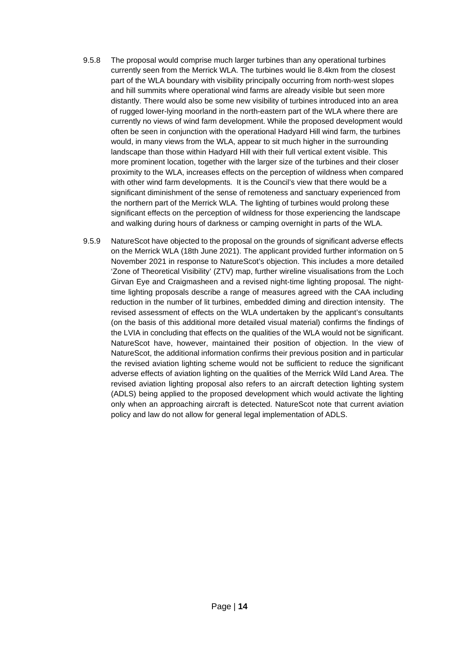- 9.5.8 The proposal would comprise much larger turbines than any operational turbines currently seen from the Merrick WLA. The turbines would lie 8.4km from the closest part of the WLA boundary with visibility principally occurring from north-west slopes and hill summits where operational wind farms are already visible but seen more distantly. There would also be some new visibility of turbines introduced into an area of rugged lower-lying moorland in the north-eastern part of the WLA where there are currently no views of wind farm development. While the proposed development would often be seen in conjunction with the operational Hadyard Hill wind farm, the turbines would, in many views from the WLA, appear to sit much higher in the surrounding landscape than those within Hadyard Hill with their full vertical extent visible. This more prominent location, together with the larger size of the turbines and their closer proximity to the WLA, increases effects on the perception of wildness when compared with other wind farm developments. It is the Council's view that there would be a significant diminishment of the sense of remoteness and sanctuary experienced from the northern part of the Merrick WLA. The lighting of turbines would prolong these significant effects on the perception of wildness for those experiencing the landscape and walking during hours of darkness or camping overnight in parts of the WLA.
- 9.5.9 NatureScot have objected to the proposal on the grounds of significant adverse effects on the Merrick WLA (18th June 2021). The applicant provided further information on 5 November 2021 in response to NatureScot's objection. This includes a more detailed 'Zone of Theoretical Visibility' (ZTV) map, further wireline visualisations from the Loch Girvan Eye and Craigmasheen and a revised night-time lighting proposal. The nighttime lighting proposals describe a range of measures agreed with the CAA including reduction in the number of lit turbines, embedded diming and direction intensity. The revised assessment of effects on the WLA undertaken by the applicant's consultants (on the basis of this additional more detailed visual material) confirms the findings of the LVIA in concluding that effects on the qualities of the WLA would not be significant. NatureScot have, however, maintained their position of objection. In the view of NatureScot, the additional information confirms their previous position and in particular the revised aviation lighting scheme would not be sufficient to reduce the significant adverse effects of aviation lighting on the qualities of the Merrick Wild Land Area. The revised aviation lighting proposal also refers to an aircraft detection lighting system (ADLS) being applied to the proposed development which would activate the lighting only when an approaching aircraft is detected. NatureScot note that current aviation policy and law do not allow for general legal implementation of ADLS.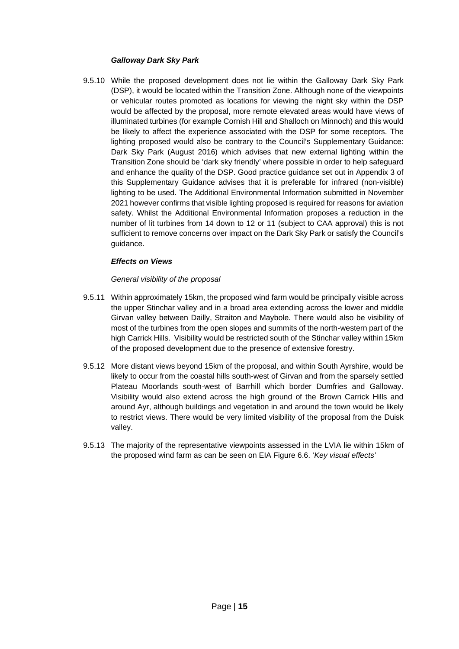# *Galloway Dark Sky Park*

9.5.10 While the proposed development does not lie within the Galloway Dark Sky Park (DSP), it would be located within the Transition Zone. Although none of the viewpoints or vehicular routes promoted as locations for viewing the night sky within the DSP would be affected by the proposal, more remote elevated areas would have views of illuminated turbines (for example Cornish Hill and Shalloch on Minnoch) and this would be likely to affect the experience associated with the DSP for some receptors. The lighting proposed would also be contrary to the Council's Supplementary Guidance: Dark Sky Park (August 2016) which advises that new external lighting within the Transition Zone should be 'dark sky friendly' where possible in order to help safeguard and enhance the quality of the DSP. Good practice guidance set out in Appendix 3 of this Supplementary Guidance advises that it is preferable for infrared (non-visible) lighting to be used. The Additional Environmental Information submitted in November 2021 however confirms that visible lighting proposed is required for reasons for aviation safety. Whilst the Additional Environmental Information proposes a reduction in the number of lit turbines from 14 down to 12 or 11 (subject to CAA approval) this is not sufficient to remove concerns over impact on the Dark Sky Park or satisfy the Council's guidance.

# *Effects on Views*

# *General visibility of the proposal*

- 9.5.11 Within approximately 15km, the proposed wind farm would be principally visible across the upper Stinchar valley and in a broad area extending across the lower and middle Girvan valley between Dailly, Straiton and Maybole. There would also be visibility of most of the turbines from the open slopes and summits of the north-western part of the high Carrick Hills. Visibility would be restricted south of the Stinchar valley within 15km of the proposed development due to the presence of extensive forestry.
- 9.5.12 More distant views beyond 15km of the proposal, and within South Ayrshire, would be likely to occur from the coastal hills south-west of Girvan and from the sparsely settled Plateau Moorlands south-west of Barrhill which border Dumfries and Galloway. Visibility would also extend across the high ground of the Brown Carrick Hills and around Ayr, although buildings and vegetation in and around the town would be likely to restrict views. There would be very limited visibility of the proposal from the Duisk valley.
- 9.5.13 The majority of the representative viewpoints assessed in the LVIA lie within 15km of the proposed wind farm as can be seen on EIA Figure 6.6. '*Key visual effects'*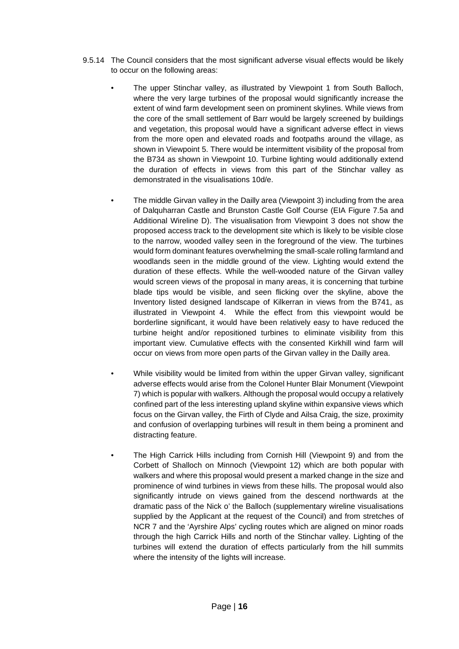- 9.5.14 The Council considers that the most significant adverse visual effects would be likely to occur on the following areas:
	- The upper Stinchar valley, as illustrated by Viewpoint 1 from South Balloch, where the very large turbines of the proposal would significantly increase the extent of wind farm development seen on prominent skylines. While views from the core of the small settlement of Barr would be largely screened by buildings and vegetation, this proposal would have a significant adverse effect in views from the more open and elevated roads and footpaths around the village, as shown in Viewpoint 5. There would be intermittent visibility of the proposal from the B734 as shown in Viewpoint 10. Turbine lighting would additionally extend the duration of effects in views from this part of the Stinchar valley as demonstrated in the visualisations 10d/e.
		- The middle Girvan valley in the Dailly area (Viewpoint 3) including from the area of Dalquharran Castle and Brunston Castle Golf Course (EIA Figure 7.5a and Additional Wireline D). The visualisation from Viewpoint 3 does not show the proposed access track to the development site which is likely to be visible close to the narrow, wooded valley seen in the foreground of the view. The turbines would form dominant features overwhelming the small-scale rolling farmland and woodlands seen in the middle ground of the view. Lighting would extend the duration of these effects. While the well-wooded nature of the Girvan valley would screen views of the proposal in many areas, it is concerning that turbine blade tips would be visible, and seen flicking over the skyline, above the Inventory listed designed landscape of Kilkerran in views from the B741, as illustrated in Viewpoint 4. While the effect from this viewpoint would be borderline significant, it would have been relatively easy to have reduced the turbine height and/or repositioned turbines to eliminate visibility from this important view. Cumulative effects with the consented Kirkhill wind farm will occur on views from more open parts of the Girvan valley in the Dailly area.
	- While visibility would be limited from within the upper Girvan valley, significant adverse effects would arise from the Colonel Hunter Blair Monument (Viewpoint 7) which is popular with walkers. Although the proposal would occupy a relatively confined part of the less interesting upland skyline within expansive views which focus on the Girvan valley, the Firth of Clyde and Ailsa Craig, the size, proximity and confusion of overlapping turbines will result in them being a prominent and distracting feature.
	- The High Carrick Hills including from Cornish Hill (Viewpoint 9) and from the Corbett of Shalloch on Minnoch (Viewpoint 12) which are both popular with walkers and where this proposal would present a marked change in the size and prominence of wind turbines in views from these hills. The proposal would also significantly intrude on views gained from the descend northwards at the dramatic pass of the Nick o' the Balloch (supplementary wireline visualisations supplied by the Applicant at the request of the Council) and from stretches of NCR 7 and the 'Ayrshire Alps' cycling routes which are aligned on minor roads through the high Carrick Hills and north of the Stinchar valley. Lighting of the turbines will extend the duration of effects particularly from the hill summits where the intensity of the lights will increase.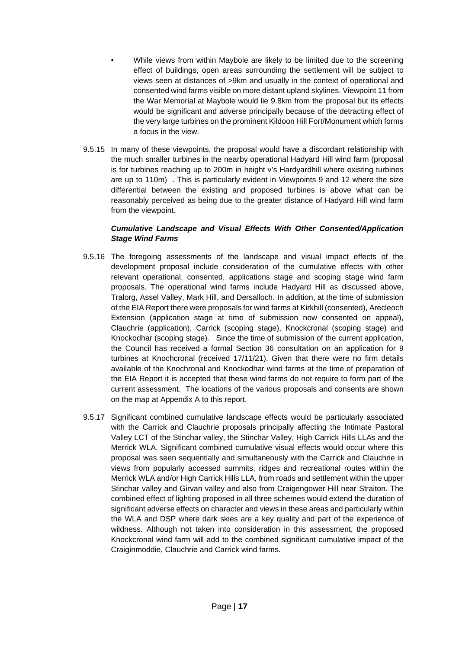- While views from within Maybole are likely to be limited due to the screening effect of buildings, open areas surrounding the settlement will be subject to views seen at distances of >9km and usually in the context of operational and consented wind farms visible on more distant upland skylines. Viewpoint 11 from the War Memorial at Maybole would lie 9.8km from the proposal but its effects would be significant and adverse principally because of the detracting effect of the very large turbines on the prominent Kildoon Hill Fort/Monument which forms a focus in the view.
- 9.5.15 In many of these viewpoints, the proposal would have a discordant relationship with the much smaller turbines in the nearby operational Hadyard Hill wind farm (proposal is for turbines reaching up to 200m in height v's Hardyardhill where existing turbines are up to 110m) . This is particularly evident in Viewpoints 9 and 12 where the size differential between the existing and proposed turbines is above what can be reasonably perceived as being due to the greater distance of Hadyard Hill wind farm from the viewpoint.

# *Cumulative Landscape and Visual Effects With Other Consented/Application Stage Wind Farms*

- 9.5.16 The foregoing assessments of the landscape and visual impact effects of the development proposal include consideration of the cumulative effects with other relevant operational, consented, applications stage and scoping stage wind farm proposals. The operational wind farms include Hadyard Hill as discussed above, Tralorg, Assel Valley, Mark Hill, and Dersalloch. In addition, at the time of submission of the EIA Report there were proposals for wind farms at Kirkhill (consented), Arecleoch Extension (application stage at time of submission now consented on appeal), Clauchrie (application), Carrick (scoping stage), Knockcronal (scoping stage) and Knockodhar (scoping stage). Since the time of submission of the current application, the Council has received a formal Section 36 consultation on an application for 9 turbines at Knochcronal (received 17/11/21). Given that there were no firm details available of the Knochronal and Knockodhar wind farms at the time of preparation of the EIA Report it is accepted that these wind farms do not require to form part of the current assessment. The locations of the various proposals and consents are shown on the map at Appendix A to this report.
- 9.5.17 Significant combined cumulative landscape effects would be particularly associated with the Carrick and Clauchrie proposals principally affecting the Intimate Pastoral Valley LCT of the Stinchar valley, the Stinchar Valley, High Carrick Hills LLAs and the Merrick WLA. Significant combined cumulative visual effects would occur where this proposal was seen sequentially and simultaneously with the Carrick and Clauchrie in views from popularly accessed summits, ridges and recreational routes within the Merrick WLA and/or High Carrick Hills LLA, from roads and settlement within the upper Stinchar valley and Girvan valley and also from Craigengower Hill near Straiton. The combined effect of lighting proposed in all three schemes would extend the duration of significant adverse effects on character and views in these areas and particularly within the WLA and DSP where dark skies are a key quality and part of the experience of wildness. Although not taken into consideration in this assessment, the proposed Knockcronal wind farm will add to the combined significant cumulative impact of the Craiginmoddie, Clauchrie and Carrick wind farms.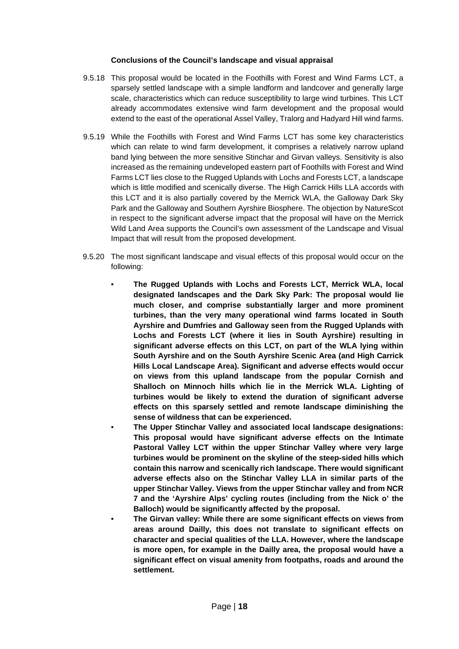### **Conclusions of the Council's landscape and visual appraisal**

- 9.5.18 This proposal would be located in the Foothills with Forest and Wind Farms LCT, a sparsely settled landscape with a simple landform and landcover and generally large scale, characteristics which can reduce susceptibility to large wind turbines. This LCT already accommodates extensive wind farm development and the proposal would extend to the east of the operational Assel Valley, Tralorg and Hadyard Hill wind farms.
- 9.5.19 While the Foothills with Forest and Wind Farms LCT has some key characteristics which can relate to wind farm development, it comprises a relatively narrow upland band lying between the more sensitive Stinchar and Girvan valleys. Sensitivity is also increased as the remaining undeveloped eastern part of Foothills with Forest and Wind Farms LCT lies close to the Rugged Uplands with Lochs and Forests LCT, a landscape which is little modified and scenically diverse. The High Carrick Hills LLA accords with this LCT and it is also partially covered by the Merrick WLA, the Galloway Dark Sky Park and the Galloway and Southern Ayrshire Biosphere. The objection by NatureScot in respect to the significant adverse impact that the proposal will have on the Merrick Wild Land Area supports the Council's own assessment of the Landscape and Visual Impact that will result from the proposed development.
- 9.5.20 The most significant landscape and visual effects of this proposal would occur on the following:
	- **The Rugged Uplands with Lochs and Forests LCT, Merrick WLA, local designated landscapes and the Dark Sky Park: The proposal would lie much closer, and comprise substantially larger and more prominent turbines, than the very many operational wind farms located in South Ayrshire and Dumfries and Galloway seen from the Rugged Uplands with Lochs and Forests LCT (where it lies in South Ayrshire) resulting in significant adverse effects on this LCT, on part of the WLA lying within South Ayrshire and on the South Ayrshire Scenic Area (and High Carrick Hills Local Landscape Area). Significant and adverse effects would occur on views from this upland landscape from the popular Cornish and Shalloch on Minnoch hills which lie in the Merrick WLA. Lighting of turbines would be likely to extend the duration of significant adverse effects on this sparsely settled and remote landscape diminishing the sense of wildness that can be experienced.** 
		- **The Upper Stinchar Valley and associated local landscape designations: This proposal would have significant adverse effects on the Intimate Pastoral Valley LCT within the upper Stinchar Valley where very large turbines would be prominent on the skyline of the steep-sided hills which contain this narrow and scenically rich landscape. There would significant adverse effects also on the Stinchar Valley LLA in similar parts of the upper Stinchar Valley. Views from the upper Stinchar valley and from NCR 7 and the 'Ayrshire Alps' cycling routes (including from the Nick o' the Balloch) would be significantly affected by the proposal.**
	- **The Girvan valley: While there are some significant effects on views from areas around Dailly, this does not translate to significant effects on character and special qualities of the LLA. However, where the landscape is more open, for example in the Dailly area, the proposal would have a significant effect on visual amenity from footpaths, roads and around the settlement.**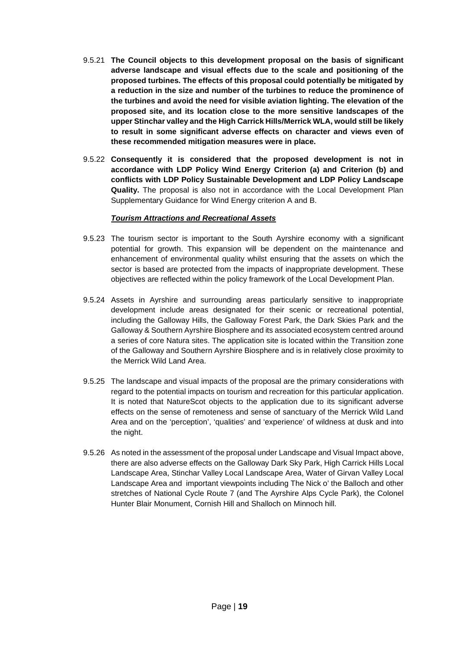- 9.5.21 **The Council objects to this development proposal on the basis of significant adverse landscape and visual effects due to the scale and positioning of the proposed turbines. The effects of this proposal could potentially be mitigated by a reduction in the size and number of the turbines to reduce the prominence of the turbines and avoid the need for visible aviation lighting. The elevation of the proposed site, and its location close to the more sensitive landscapes of the upper Stinchar valley and the High Carrick Hills/Merrick WLA, would still be likely to result in some significant adverse effects on character and views even of these recommended mitigation measures were in place.**
- 9.5.22 **Consequently it is considered that the proposed development is not in accordance with LDP Policy Wind Energy Criterion (a) and Criterion (b) and conflicts with LDP Policy Sustainable Development and LDP Policy Landscape Quality.** The proposal is also not in accordance with the Local Development Plan Supplementary Guidance for Wind Energy criterion A and B.

# *Tourism Attractions and Recreational Assets*

- 9.5.23 The tourism sector is important to the South Ayrshire economy with a significant potential for growth. This expansion will be dependent on the maintenance and enhancement of environmental quality whilst ensuring that the assets on which the sector is based are protected from the impacts of inappropriate development. These objectives are reflected within the policy framework of the Local Development Plan.
- 9.5.24 Assets in Ayrshire and surrounding areas particularly sensitive to inappropriate development include areas designated for their scenic or recreational potential, including the Galloway Hills, the Galloway Forest Park, the Dark Skies Park and the Galloway & Southern Ayrshire Biosphere and its associated ecosystem centred around a series of core Natura sites. The application site is located within the Transition zone of the Galloway and Southern Ayrshire Biosphere and is in relatively close proximity to the Merrick Wild Land Area.
- 9.5.25 The landscape and visual impacts of the proposal are the primary considerations with regard to the potential impacts on tourism and recreation for this particular application. It is noted that NatureScot objects to the application due to its significant adverse effects on the sense of remoteness and sense of sanctuary of the Merrick Wild Land Area and on the 'perception', 'qualities' and 'experience' of wildness at dusk and into the night.
- 9.5.26 As noted in the assessment of the proposal under Landscape and Visual Impact above, there are also adverse effects on the Galloway Dark Sky Park, High Carrick Hills Local Landscape Area, Stinchar Valley Local Landscape Area, Water of Girvan Valley Local Landscape Area and important viewpoints including The Nick o' the Balloch and other stretches of National Cycle Route 7 (and The Ayrshire Alps Cycle Park), the Colonel Hunter Blair Monument, Cornish Hill and Shalloch on Minnoch hill.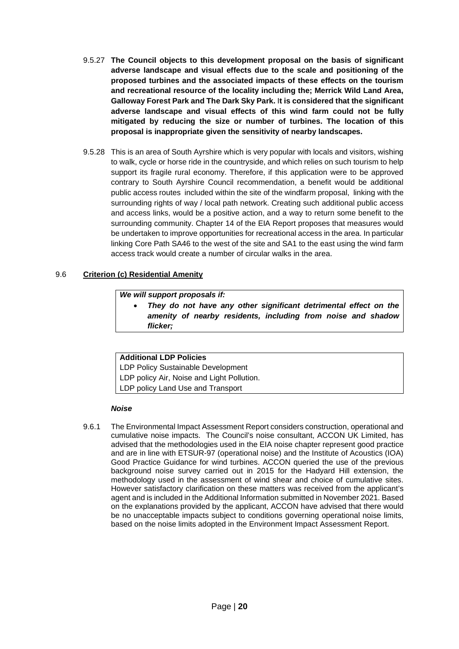- 9.5.27 **The Council objects to this development proposal on the basis of significant adverse landscape and visual effects due to the scale and positioning of the proposed turbines and the associated impacts of these effects on the tourism and recreational resource of the locality including the; Merrick Wild Land Area, Galloway Forest Park and The Dark Sky Park.** I**t is considered that the significant adverse landscape and visual effects of this wind farm could not be fully mitigated by reducing the size or number of turbines. The location of this proposal is inappropriate given the sensitivity of nearby landscapes.**
- 9.5.28 This is an area of South Ayrshire which is very popular with locals and visitors, wishing to walk, cycle or horse ride in the countryside, and which relies on such tourism to help support its fragile rural economy. Therefore, if this application were to be approved contrary to South Ayrshire Council recommendation, a benefit would be additional public access routes included within the site of the windfarm proposal, linking with the surrounding rights of way / local path network. Creating such additional public access and access links, would be a positive action, and a way to return some benefit to the surrounding community. Chapter 14 of the EIA Report proposes that measures would be undertaken to improve opportunities for recreational access in the area. In particular linking Core Path SA46 to the west of the site and SA1 to the east using the wind farm access track would create a number of circular walks in the area.

# 9.6 **Criterion (c) Residential Amenity**

### *We will support proposals if:*

• *They do not have any other significant detrimental effect on the amenity of nearby residents, including from noise and shadow flicker;*

### **Additional LDP Policies**

LDP Policy Sustainable Development LDP policy Air, Noise and Light Pollution. LDP policy Land Use and Transport

### *Noise*

9.6.1 The Environmental Impact Assessment Report considers construction, operational and cumulative noise impacts. The Council's noise consultant, ACCON UK Limited, has advised that the methodologies used in the EIA noise chapter represent good practice and are in line with ETSUR-97 (operational noise) and the Institute of Acoustics (IOA) Good Practice Guidance for wind turbines. ACCON queried the use of the previous background noise survey carried out in 2015 for the Hadyard Hill extension, the methodology used in the assessment of wind shear and choice of cumulative sites. However satisfactory clarification on these matters was received from the applicant's agent and is included in the Additional Information submitted in November 2021. Based on the explanations provided by the applicant, ACCON have advised that there would be no unacceptable impacts subject to conditions governing operational noise limits, based on the noise limits adopted in the Environment Impact Assessment Report.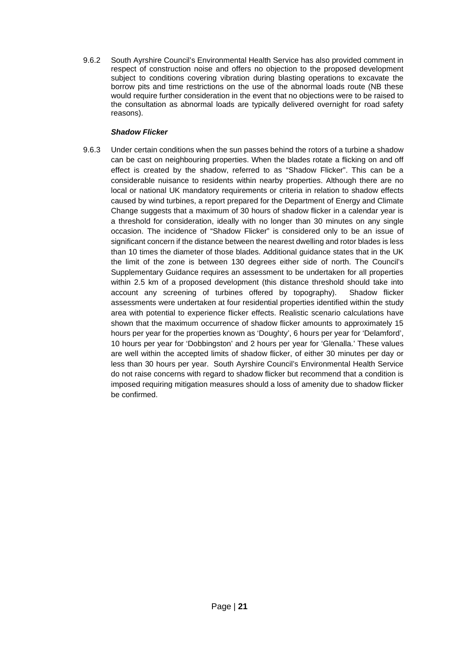9.6.2 South Ayrshire Council's Environmental Health Service has also provided comment in respect of construction noise and offers no objection to the proposed development subject to conditions covering vibration during blasting operations to excavate the borrow pits and time restrictions on the use of the abnormal loads route (NB these would require further consideration in the event that no objections were to be raised to the consultation as abnormal loads are typically delivered overnight for road safety reasons).

# *Shadow Flicker*

9.6.3 Under certain conditions when the sun passes behind the rotors of a turbine a shadow can be cast on neighbouring properties. When the blades rotate a flicking on and off effect is created by the shadow, referred to as "Shadow Flicker". This can be a considerable nuisance to residents within nearby properties. Although there are no local or national UK mandatory requirements or criteria in relation to shadow effects caused by wind turbines, a report prepared for the Department of Energy and Climate Change suggests that a maximum of 30 hours of shadow flicker in a calendar year is a threshold for consideration, ideally with no longer than 30 minutes on any single occasion. The incidence of "Shadow Flicker" is considered only to be an issue of significant concern if the distance between the nearest dwelling and rotor blades is less than 10 times the diameter of those blades. Additional guidance states that in the UK the limit of the zone is between 130 degrees either side of north. The Council's Supplementary Guidance requires an assessment to be undertaken for all properties within 2.5 km of a proposed development (this distance threshold should take into account any screening of turbines offered by topography). Shadow flicker assessments were undertaken at four residential properties identified within the study area with potential to experience flicker effects. Realistic scenario calculations have shown that the maximum occurrence of shadow flicker amounts to approximately 15 hours per year for the properties known as 'Doughty', 6 hours per year for 'Delamford', 10 hours per year for 'Dobbingston' and 2 hours per year for 'Glenalla.' These values are well within the accepted limits of shadow flicker, of either 30 minutes per day or less than 30 hours per year. South Ayrshire Council's Environmental Health Service do not raise concerns with regard to shadow flicker but recommend that a condition is imposed requiring mitigation measures should a loss of amenity due to shadow flicker be confirmed.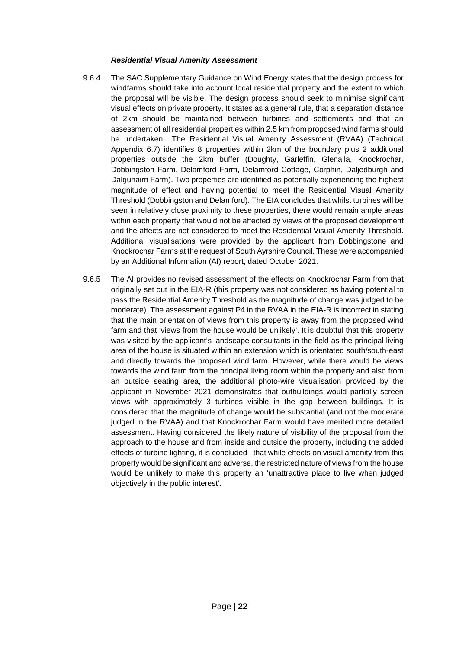### *Residential Visual Amenity Assessment*

- 9.6.4 The SAC Supplementary Guidance on Wind Energy states that the design process for windfarms should take into account local residential property and the extent to which the proposal will be visible. The design process should seek to minimise significant visual effects on private property. It states as a general rule, that a separation distance of 2km should be maintained between turbines and settlements and that an assessment of all residential properties within 2.5 km from proposed wind farms should be undertaken. The Residential Visual Amenity Assessment (RVAA) (Technical Appendix 6.7) identifies 8 properties within 2km of the boundary plus 2 additional properties outside the 2km buffer (Doughty, Garleffin, Glenalla, Knockrochar, Dobbingston Farm, Delamford Farm, Delamford Cottage, Corphin, Daljedburgh and Dalguhairn Farm). Two properties are identified as potentially experiencing the highest magnitude of effect and having potential to meet the Residential Visual Amenity Threshold (Dobbingston and Delamford). The EIA concludes that whilst turbines will be seen in relatively close proximity to these properties, there would remain ample areas within each property that would not be affected by views of the proposed development and the affects are not considered to meet the Residential Visual Amenity Threshold. Additional visualisations were provided by the applicant from Dobbingstone and Knockrochar Farms at the request of South Ayrshire Council. These were accompanied by an Additional Information (AI) report, dated October 2021.
- 9.6.5 The AI provides no revised assessment of the effects on Knockrochar Farm from that originally set out in the EIA-R (this property was not considered as having potential to pass the Residential Amenity Threshold as the magnitude of change was judged to be moderate). The assessment against P4 in the RVAA in the EIA-R is incorrect in stating that the main orientation of views from this property is away from the proposed wind farm and that 'views from the house would be unlikely'. It is doubtful that this property was visited by the applicant's landscape consultants in the field as the principal living area of the house is situated within an extension which is orientated south/south-east and directly towards the proposed wind farm. However, while there would be views towards the wind farm from the principal living room within the property and also from an outside seating area, the additional photo-wire visualisation provided by the applicant in November 2021 demonstrates that outbuildings would partially screen views with approximately 3 turbines visible in the gap between buildings. It is considered that the magnitude of change would be substantial (and not the moderate judged in the RVAA) and that Knockrochar Farm would have merited more detailed assessment. Having considered the likely nature of visibility of the proposal from the approach to the house and from inside and outside the property, including the added effects of turbine lighting, it is concluded that while effects on visual amenity from this property would be significant and adverse, the restricted nature of views from the house would be unlikely to make this property an 'unattractive place to live when judged objectively in the public interest'.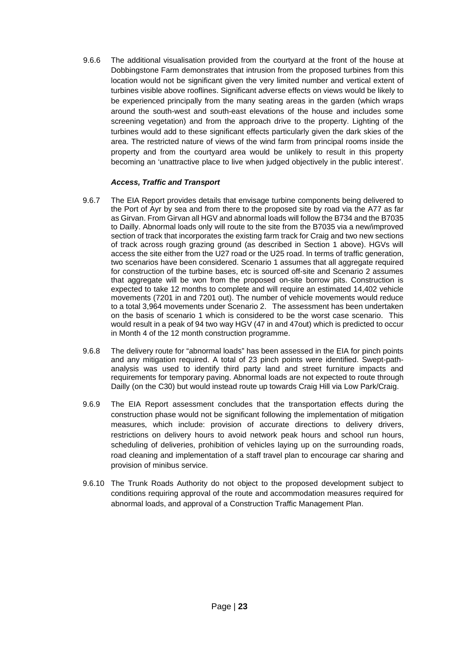9.6.6 The additional visualisation provided from the courtyard at the front of the house at Dobbingstone Farm demonstrates that intrusion from the proposed turbines from this location would not be significant given the very limited number and vertical extent of turbines visible above rooflines. Significant adverse effects on views would be likely to be experienced principally from the many seating areas in the garden (which wraps around the south-west and south-east elevations of the house and includes some screening vegetation) and from the approach drive to the property. Lighting of the turbines would add to these significant effects particularly given the dark skies of the area. The restricted nature of views of the wind farm from principal rooms inside the property and from the courtyard area would be unlikely to result in this property becoming an 'unattractive place to live when judged objectively in the public interest'.

# *Access, Traffic and Transport*

- 9.6.7 The EIA Report provides details that envisage turbine components being delivered to the Port of Ayr by sea and from there to the proposed site by road via the A77 as far as Girvan. From Girvan all HGV and abnormal loads will follow the B734 and the B7035 to Dailly. Abnormal loads only will route to the site from the B7035 via a new/improved section of track that incorporates the existing farm track for Craig and two new sections of track across rough grazing ground (as described in Section 1 above). HGVs will access the site either from the U27 road or the U25 road. In terms of traffic generation, two scenarios have been considered. Scenario 1 assumes that all aggregate required for construction of the turbine bases, etc is sourced off-site and Scenario 2 assumes that aggregate will be won from the proposed on-site borrow pits. Construction is expected to take 12 months to complete and will require an estimated 14,402 vehicle movements (7201 in and 7201 out). The number of vehicle movements would reduce to a total 3,964 movements under Scenario 2. The assessment has been undertaken on the basis of scenario 1 which is considered to be the worst case scenario. This would result in a peak of 94 two way HGV (47 in and 47out) which is predicted to occur in Month 4 of the 12 month construction programme.
- 9.6.8 The delivery route for "abnormal loads" has been assessed in the EIA for pinch points and any mitigation required. A total of 23 pinch points were identified. Swept-pathanalysis was used to identify third party land and street furniture impacts and requirements for temporary paving. Abnormal loads are not expected to route through Dailly (on the C30) but would instead route up towards Craig Hill via Low Park/Craig.
- 9.6.9 The EIA Report assessment concludes that the transportation effects during the construction phase would not be significant following the implementation of mitigation measures, which include: provision of accurate directions to delivery drivers, restrictions on delivery hours to avoid network peak hours and school run hours, scheduling of deliveries, prohibition of vehicles laying up on the surrounding roads, road cleaning and implementation of a staff travel plan to encourage car sharing and provision of minibus service.
- 9.6.10 The Trunk Roads Authority do not object to the proposed development subject to conditions requiring approval of the route and accommodation measures required for abnormal loads, and approval of a Construction Traffic Management Plan.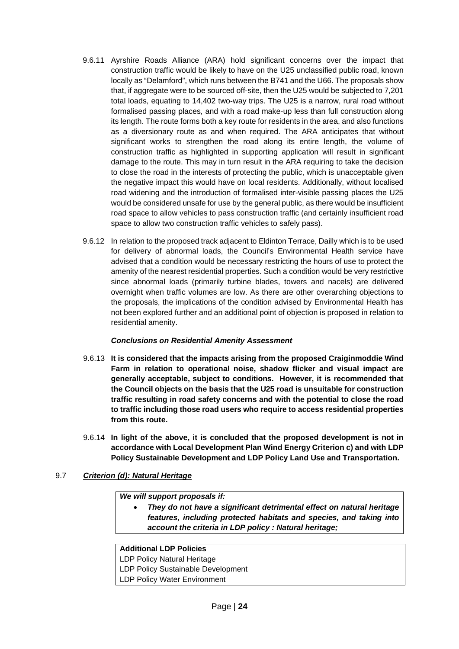- 9.6.11 Ayrshire Roads Alliance (ARA) hold significant concerns over the impact that construction traffic would be likely to have on the U25 unclassified public road, known locally as "Delamford", which runs between the B741 and the U66. The proposals show that, if aggregate were to be sourced off-site, then the U25 would be subjected to 7,201 total loads, equating to 14,402 two-way trips. The U25 is a narrow, rural road without formalised passing places, and with a road make-up less than full construction along its length. The route forms both a key route for residents in the area, and also functions as a diversionary route as and when required. The ARA anticipates that without significant works to strengthen the road along its entire length, the volume of construction traffic as highlighted in supporting application will result in significant damage to the route. This may in turn result in the ARA requiring to take the decision to close the road in the interests of protecting the public, which is unacceptable given the negative impact this would have on local residents. Additionally, without localised road widening and the introduction of formalised inter-visible passing places the U25 would be considered unsafe for use by the general public, as there would be insufficient road space to allow vehicles to pass construction traffic (and certainly insufficient road space to allow two construction traffic vehicles to safely pass).
- 9.6.12 In relation to the proposed track adjacent to Eldinton Terrace, Dailly which is to be used for delivery of abnormal loads, the Council's Environmental Health service have advised that a condition would be necessary restricting the hours of use to protect the amenity of the nearest residential properties. Such a condition would be very restrictive since abnormal loads (primarily turbine blades, towers and nacels) are delivered overnight when traffic volumes are low. As there are other overarching objections to the proposals, the implications of the condition advised by Environmental Health has not been explored further and an additional point of objection is proposed in relation to residential amenity.

# *Conclusions on Residential Amenity Assessment*

- 9.6.13 **It is considered that the impacts arising from the proposed Craiginmoddie Wind Farm in relation to operational noise, shadow flicker and visual impact are generally acceptable, subject to conditions. However, it is recommended that the Council objects on the basis that the U25 road is unsuitable for construction traffic resulting in road safety concerns and with the potential to close the road to traffic including those road users who require to access residential properties from this route.**
- 9.6.14 **In light of the above, it is concluded that the proposed development is not in accordance with Local Development Plan Wind Energy Criterion c) and with LDP Policy Sustainable Development and LDP Policy Land Use and Transportation.**

# 9.7 *Criterion (d): Natural Heritage*

*We will support proposals if:* 

• *They do not have a significant detrimental effect on natural heritage features, including protected habitats and species, and taking into account the criteria in LDP policy : Natural heritage;*

# **Additional LDP Policies**

LDP Policy Natural Heritage

LDP Policy Sustainable Development

LDP Policy Water Environment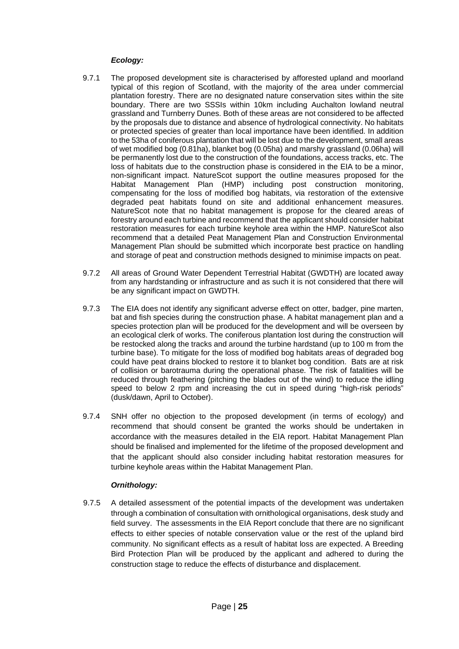# *Ecology:*

- 9.7.1 The proposed development site is characterised by afforested upland and moorland typical of this region of Scotland, with the majority of the area under commercial plantation forestry. There are no designated nature conservation sites within the site boundary. There are two SSSIs within 10km including Auchalton lowland neutral grassland and Turnberry Dunes. Both of these areas are not considered to be affected by the proposals due to distance and absence of hydrological connectivity. No habitats or protected species of greater than local importance have been identified. In addition to the 53ha of coniferous plantation that will be lost due to the development, small areas of wet modified bog (0.81ha), blanket bog (0.05ha) and marshy grassland (0.06ha) will be permanently lost due to the construction of the foundations, access tracks, etc. The loss of habitats due to the construction phase is considered in the EIA to be a minor, non-significant impact. NatureScot support the outline measures proposed for the Habitat Management Plan (HMP) including post construction monitoring, compensating for the loss of modified bog habitats, via restoration of the extensive degraded peat habitats found on site and additional enhancement measures. NatureScot note that no habitat management is propose for the cleared areas of forestry around each turbine and recommend that the applicant should consider habitat restoration measures for each turbine keyhole area within the HMP. NatureScot also recommend that a detailed Peat Management Plan and Construction Environmental Management Plan should be submitted which incorporate best practice on handling and storage of peat and construction methods designed to minimise impacts on peat.
- 9.7.2 All areas of Ground Water Dependent Terrestrial Habitat (GWDTH) are located away from any hardstanding or infrastructure and as such it is not considered that there will be any significant impact on GWDTH.
- 9.7.3 The EIA does not identify any significant adverse effect on otter, badger, pine marten, bat and fish species during the construction phase. A habitat management plan and a species protection plan will be produced for the development and will be overseen by an ecological clerk of works. The coniferous plantation lost during the construction will be restocked along the tracks and around the turbine hardstand (up to 100 m from the turbine base). To mitigate for the loss of modified bog habitats areas of degraded bog could have peat drains blocked to restore it to blanket bog condition. Bats are at risk of collision or barotrauma during the operational phase. The risk of fatalities will be reduced through feathering (pitching the blades out of the wind) to reduce the idling speed to below 2 rpm and increasing the cut in speed during "high-risk periods" (dusk/dawn, April to October).
- 9.7.4 SNH offer no objection to the proposed development (in terms of ecology) and recommend that should consent be granted the works should be undertaken in accordance with the measures detailed in the EIA report. Habitat Management Plan should be finalised and implemented for the lifetime of the proposed development and that the applicant should also consider including habitat restoration measures for turbine keyhole areas within the Habitat Management Plan.

# *Ornithology:*

9.7.5 A detailed assessment of the potential impacts of the development was undertaken through a combination of consultation with ornithological organisations, desk study and field survey. The assessments in the EIA Report conclude that there are no significant effects to either species of notable conservation value or the rest of the upland bird community. No significant effects as a result of habitat loss are expected. A Breeding Bird Protection Plan will be produced by the applicant and adhered to during the construction stage to reduce the effects of disturbance and displacement.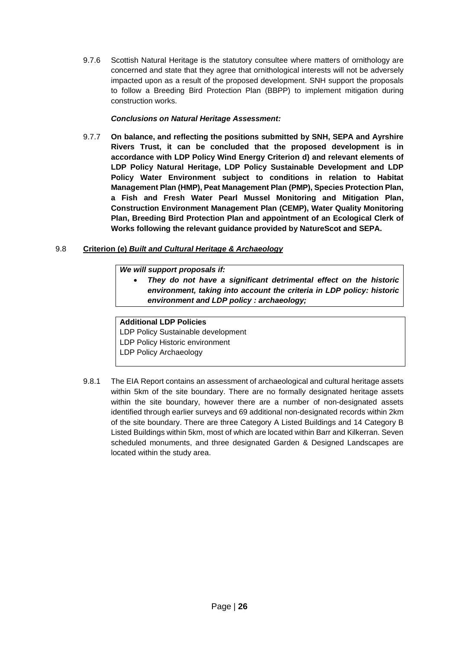9.7.6 Scottish Natural Heritage is the statutory consultee where matters of ornithology are concerned and state that they agree that ornithological interests will not be adversely impacted upon as a result of the proposed development. SNH support the proposals to follow a Breeding Bird Protection Plan (BBPP) to implement mitigation during construction works.

# *Conclusions on Natural Heritage Assessment:*

9.7.7 **On balance, and reflecting the positions submitted by SNH, SEPA and Ayrshire Rivers Trust, it can be concluded that the proposed development is in accordance with LDP Policy Wind Energy Criterion d) and relevant elements of LDP Policy Natural Heritage, LDP Policy Sustainable Development and LDP Policy Water Environment subject to conditions in relation to Habitat Management Plan (HMP), Peat Management Plan (PMP), Species Protection Plan, a Fish and Fresh Water Pearl Mussel Monitoring and Mitigation Plan, Construction Environment Management Plan (CEMP), Water Quality Monitoring Plan, Breeding Bird Protection Plan and appointment of an Ecological Clerk of Works following the relevant guidance provided by NatureScot and SEPA.**

# 9.8 **Criterion (e)** *Built and Cultural Heritage & Archaeology*

# *We will support proposals if:*

• *They do not have a significant detrimental effect on the historic environment, taking into account the criteria in LDP policy: historic environment and LDP policy : archaeology;*

# **Additional LDP Policies**

LDP Policy Sustainable development LDP Policy Historic environment LDP Policy Archaeology

9.8.1 The EIA Report contains an assessment of archaeological and cultural heritage assets within 5km of the site boundary. There are no formally designated heritage assets within the site boundary, however there are a number of non-designated assets identified through earlier surveys and 69 additional non-designated records within 2km of the site boundary. There are three Category A Listed Buildings and 14 Category B Listed Buildings within 5km, most of which are located within Barr and Kilkerran. Seven scheduled monuments, and three designated Garden & Designed Landscapes are located within the study area.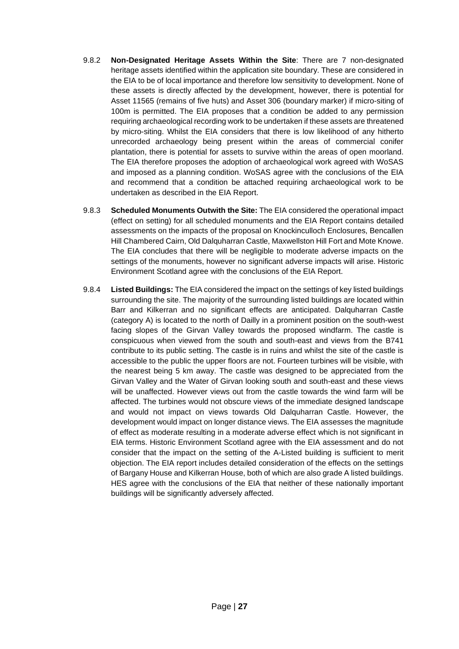- 9.8.2 **Non-Designated Heritage Assets Within the Site**: There are 7 non-designated heritage assets identified within the application site boundary. These are considered in the EIA to be of local importance and therefore low sensitivity to development. None of these assets is directly affected by the development, however, there is potential for Asset 11565 (remains of five huts) and Asset 306 (boundary marker) if micro-siting of 100m is permitted. The EIA proposes that a condition be added to any permission requiring archaeological recording work to be undertaken if these assets are threatened by micro-siting. Whilst the EIA considers that there is low likelihood of any hitherto unrecorded archaeology being present within the areas of commercial conifer plantation, there is potential for assets to survive within the areas of open moorland. The EIA therefore proposes the adoption of archaeological work agreed with WoSAS and imposed as a planning condition. WoSAS agree with the conclusions of the EIA and recommend that a condition be attached requiring archaeological work to be undertaken as described in the EIA Report.
- 9.8.3 **Scheduled Monuments Outwith the Site:** The EIA considered the operational impact (effect on setting) for all scheduled monuments and the EIA Report contains detailed assessments on the impacts of the proposal on Knockinculloch Enclosures, Bencallen Hill Chambered Cairn, Old Dalquharran Castle, Maxwellston Hill Fort and Mote Knowe. The EIA concludes that there will be negligible to moderate adverse impacts on the settings of the monuments, however no significant adverse impacts will arise. Historic Environment Scotland agree with the conclusions of the EIA Report.
- 9.8.4 **Listed Buildings:** The EIA considered the impact on the settings of key listed buildings surrounding the site. The majority of the surrounding listed buildings are located within Barr and Kilkerran and no significant effects are anticipated. Dalquharran Castle (category A) is located to the north of Dailly in a prominent position on the south-west facing slopes of the Girvan Valley towards the proposed windfarm. The castle is conspicuous when viewed from the south and south-east and views from the B741 contribute to its public setting. The castle is in ruins and whilst the site of the castle is accessible to the public the upper floors are not. Fourteen turbines will be visible, with the nearest being 5 km away. The castle was designed to be appreciated from the Girvan Valley and the Water of Girvan looking south and south-east and these views will be unaffected. However views out from the castle towards the wind farm will be affected. The turbines would not obscure views of the immediate designed landscape and would not impact on views towards Old Dalquharran Castle. However, the development would impact on longer distance views. The EIA assesses the magnitude of effect as moderate resulting in a moderate adverse effect which is not significant in EIA terms. Historic Environment Scotland agree with the EIA assessment and do not consider that the impact on the setting of the A-Listed building is sufficient to merit objection. The EIA report includes detailed consideration of the effects on the settings of Bargany House and Kilkerran House, both of which are also grade A listed buildings. HES agree with the conclusions of the EIA that neither of these nationally important buildings will be significantly adversely affected.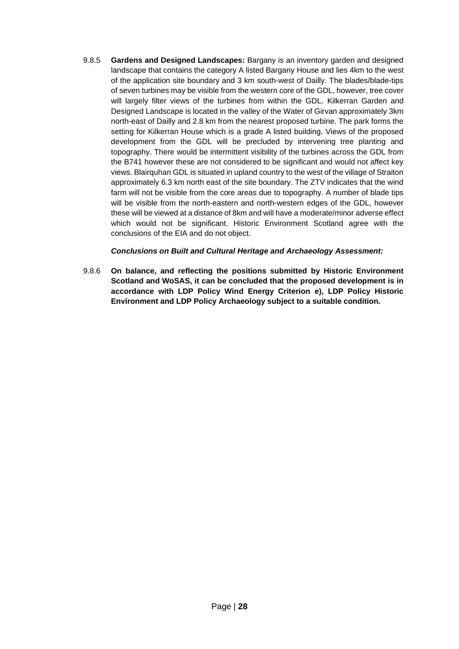9.8.5 **Gardens and Designed Landscapes:** Bargany is an inventory garden and designed landscape that contains the category A listed Bargany House and lies 4km to the west of the application site boundary and 3 km south-west of Dailly. The blades/blade-tips of seven turbines may be visible from the western core of the GDL, however, tree cover will largely filter views of the turbines from within the GDL. Kilkerran Garden and Designed Landscape is located in the valley of the Water of Girvan approximately 3km north-east of Dailly and 2.8 km from the nearest proposed turbine. The park forms the setting for Kilkerran House which is a grade A listed building. Views of the proposed development from the GDL will be precluded by intervening tree planting and topography. There would be intermittent visibility of the turbines across the GDL from the B741 however these are not considered to be significant and would not affect key views. Blairquhan GDL is situated in upland country to the west of the village of Straiton approximately 6.3 km north east of the site boundary. The ZTV indicates that the wind farm will not be visible from the core areas due to topography. A number of blade tips will be visible from the north-eastern and north-western edges of the GDL, however these will be viewed at a distance of 8km and will have a moderate/minor adverse effect which would not be significant. Historic Environment Scotland agree with the conclusions of the EIA and do not object.

# *Conclusions on Built and Cultural Heritage and Archaeology Assessment:*

9.8.6 **On balance, and reflecting the positions submitted by Historic Environment Scotland and WoSAS, it can be concluded that the proposed development is in accordance with LDP Policy Wind Energy Criterion e), LDP Policy Historic Environment and LDP Policy Archaeology subject to a suitable condition.**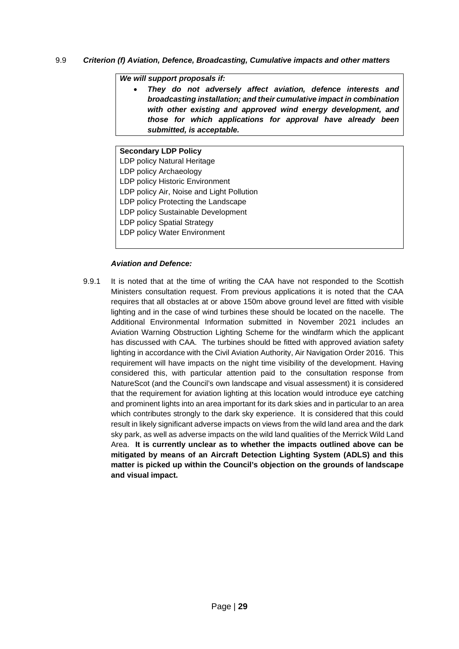# 9.9 *Criterion (f) Aviation, Defence, Broadcasting, Cumulative impacts and other matters*

### *We will support proposals if:*

• *They do not adversely affect aviation, defence interests and broadcasting installation; and their cumulative impact in combination with other existing and approved wind energy development, and those for which applications for approval have already been submitted, is acceptable.*

### **Secondary LDP Policy**

- LDP policy Natural Heritage
- LDP policy Archaeology
- LDP policy Historic Environment
- LDP policy Air, Noise and Light Pollution
- LDP policy Protecting the Landscape
- LDP policy Sustainable Development
- LDP policy Spatial Strategy
- LDP policy Water Environment

# *Aviation and Defence:*

9.9.1 It is noted that at the time of writing the CAA have not responded to the Scottish Ministers consultation request. From previous applications it is noted that the CAA requires that all obstacles at or above 150m above ground level are fitted with visible lighting and in the case of wind turbines these should be located on the nacelle. The Additional Environmental Information submitted in November 2021 includes an Aviation Warning Obstruction Lighting Scheme for the windfarm which the applicant has discussed with CAA. The turbines should be fitted with approved aviation safety lighting in accordance with the Civil Aviation Authority, Air Navigation Order 2016. This requirement will have impacts on the night time visibility of the development. Having considered this, with particular attention paid to the consultation response from NatureScot (and the Council's own landscape and visual assessment) it is considered that the requirement for aviation lighting at this location would introduce eye catching and prominent lights into an area important for its dark skies and in particular to an area which contributes strongly to the dark sky experience. It is considered that this could result in likely significant adverse impacts on views from the wild land area and the dark sky park, as well as adverse impacts on the wild land qualities of the Merrick Wild Land Area. **It is currently unclear as to whether the impacts outlined above can be mitigated by means of an Aircraft Detection Lighting System (ADLS) and this matter is picked up within the Council's objection on the grounds of landscape and visual impact.**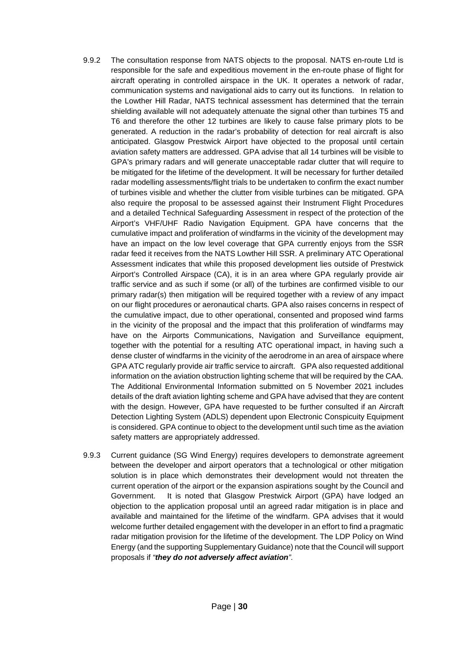- 9.9.2 The consultation response from NATS objects to the proposal. NATS en-route Ltd is responsible for the safe and expeditious movement in the en-route phase of flight for aircraft operating in controlled airspace in the UK. It operates a network of radar, communication systems and navigational aids to carry out its functions. In relation to the Lowther Hill Radar, NATS technical assessment has determined that the terrain shielding available will not adequately attenuate the signal other than turbines T5 and T6 and therefore the other 12 turbines are likely to cause false primary plots to be generated. A reduction in the radar's probability of detection for real aircraft is also anticipated. Glasgow Prestwick Airport have objected to the proposal until certain aviation safety matters are addressed. GPA advise that all 14 turbines will be visible to GPA's primary radars and will generate unacceptable radar clutter that will require to be mitigated for the lifetime of the development. It will be necessary for further detailed radar modelling assessments/flight trials to be undertaken to confirm the exact number of turbines visible and whether the clutter from visible turbines can be mitigated. GPA also require the proposal to be assessed against their Instrument Flight Procedures and a detailed Technical Safeguarding Assessment in respect of the protection of the Airport's VHF/UHF Radio Navigation Equipment. GPA have concerns that the cumulative impact and proliferation of windfarms in the vicinity of the development may have an impact on the low level coverage that GPA currently enjoys from the SSR radar feed it receives from the NATS Lowther Hill SSR. A preliminary ATC Operational Assessment indicates that while this proposed development lies outside of Prestwick Airport's Controlled Airspace (CA), it is in an area where GPA regularly provide air traffic service and as such if some (or all) of the turbines are confirmed visible to our primary radar(s) then mitigation will be required together with a review of any impact on our flight procedures or aeronautical charts. GPA also raises concerns in respect of the cumulative impact, due to other operational, consented and proposed wind farms in the vicinity of the proposal and the impact that this proliferation of windfarms may have on the Airports Communications, Navigation and Surveillance equipment, together with the potential for a resulting ATC operational impact, in having such a dense cluster of windfarms in the vicinity of the aerodrome in an area of airspace where GPA ATC regularly provide air traffic service to aircraft. GPA also requested additional information on the aviation obstruction lighting scheme that will be required by the CAA. The Additional Environmental Information submitted on 5 November 2021 includes details of the draft aviation lighting scheme and GPA have advised that they are content with the design. However, GPA have requested to be further consulted if an Aircraft Detection Lighting System (ADLS) dependent upon Electronic Conspicuity Equipment is considered. GPA continue to object to the development until such time as the aviation safety matters are appropriately addressed.
- 9.9.3 Current guidance (SG Wind Energy) requires developers to demonstrate agreement between the developer and airport operators that a technological or other mitigation solution is in place which demonstrates their development would not threaten the current operation of the airport or the expansion aspirations sought by the Council and Government. It is noted that Glasgow Prestwick Airport (GPA) have lodged an objection to the application proposal until an agreed radar mitigation is in place and available and maintained for the lifetime of the windfarm. GPA advises that it would welcome further detailed engagement with the developer in an effort to find a pragmatic radar mitigation provision for the lifetime of the development. The LDP Policy on Wind Energy (and the supporting Supplementary Guidance) note that the Council will support proposals if *"they do not adversely affect aviation".*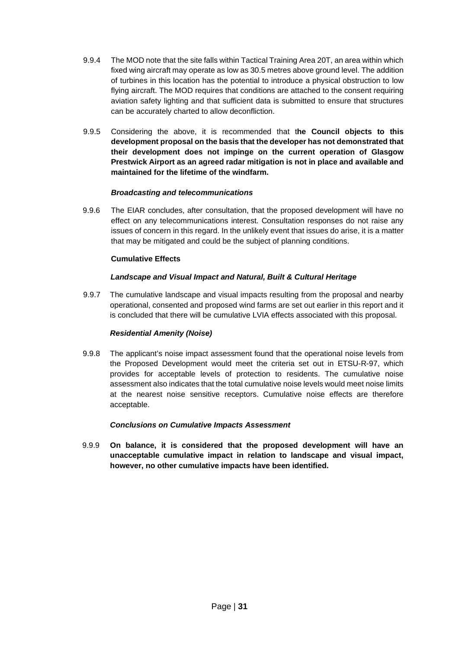- 9.9.4 The MOD note that the site falls within Tactical Training Area 20T, an area within which fixed wing aircraft may operate as low as 30.5 metres above ground level. The addition of turbines in this location has the potential to introduce a physical obstruction to low flying aircraft. The MOD requires that conditions are attached to the consent requiring aviation safety lighting and that sufficient data is submitted to ensure that structures can be accurately charted to allow deconfliction.
- 9.9.5 Considering the above, it is recommended that t**he Council objects to this development proposal on the basis that the developer has not demonstrated that their development does not impinge on the current operation of Glasgow Prestwick Airport as an agreed radar mitigation is not in place and available and maintained for the lifetime of the windfarm.**

# *Broadcasting and telecommunications*

9.9.6 The EIAR concludes, after consultation, that the proposed development will have no effect on any telecommunications interest. Consultation responses do not raise any issues of concern in this regard. In the unlikely event that issues do arise, it is a matter that may be mitigated and could be the subject of planning conditions.

# **Cumulative Effects**

# *Landscape and Visual Impact and Natural, Built & Cultural Heritage*

9.9.7 The cumulative landscape and visual impacts resulting from the proposal and nearby operational, consented and proposed wind farms are set out earlier in this report and it is concluded that there will be cumulative LVIA effects associated with this proposal.

# *Residential Amenity (Noise)*

9.9.8 The applicant's noise impact assessment found that the operational noise levels from the Proposed Development would meet the criteria set out in ETSU-R-97, which provides for acceptable levels of protection to residents. The cumulative noise assessment also indicates that the total cumulative noise levels would meet noise limits at the nearest noise sensitive receptors. Cumulative noise effects are therefore acceptable.

# *Conclusions on Cumulative Impacts Assessment*

9.9.9 **On balance, it is considered that the proposed development will have an unacceptable cumulative impact in relation to landscape and visual impact, however, no other cumulative impacts have been identified.**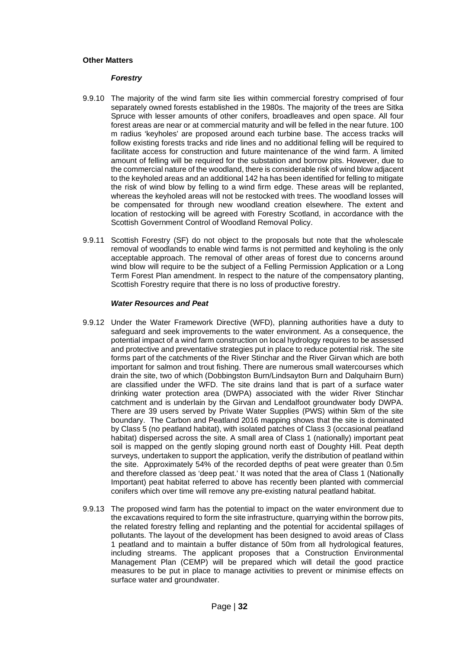#### **Other Matters**

#### *Forestry*

- 9.9.10 The majority of the wind farm site lies within commercial forestry comprised of four separately owned forests established in the 1980s. The majority of the trees are Sitka Spruce with lesser amounts of other conifers, broadleaves and open space. All four forest areas are near or at commercial maturity and will be felled in the near future. 100 m radius 'keyholes' are proposed around each turbine base. The access tracks will follow existing forests tracks and ride lines and no additional felling will be required to facilitate access for construction and future maintenance of the wind farm. A limited amount of felling will be required for the substation and borrow pits. However, due to the commercial nature of the woodland, there is considerable risk of wind blow adjacent to the keyholed areas and an additional 142 ha has been identified for felling to mitigate the risk of wind blow by felling to a wind firm edge. These areas will be replanted, whereas the keyholed areas will not be restocked with trees. The woodland losses will be compensated for through new woodland creation elsewhere. The extent and location of restocking will be agreed with Forestry Scotland, in accordance with the Scottish Government Control of Woodland Removal Policy.
- 9.9.11 Scottish Forestry (SF) do not object to the proposals but note that the wholescale removal of woodlands to enable wind farms is not permitted and keyholing is the only acceptable approach. The removal of other areas of forest due to concerns around wind blow will require to be the subject of a Felling Permission Application or a Long Term Forest Plan amendment. In respect to the nature of the compensatory planting, Scottish Forestry require that there is no loss of productive forestry.

#### *Water Resources and Peat*

- 9.9.12 Under the Water Framework Directive (WFD), planning authorities have a duty to safeguard and seek improvements to the water environment. As a consequence, the potential impact of a wind farm construction on local hydrology requires to be assessed and protective and preventative strategies put in place to reduce potential risk. The site forms part of the catchments of the River Stinchar and the River Girvan which are both important for salmon and trout fishing. There are numerous small watercourses which drain the site, two of which (Dobbingston Burn/Lindsayton Burn and Dalquhairn Burn) are classified under the WFD. The site drains land that is part of a surface water drinking water protection area (DWPA) associated with the wider River Stinchar catchment and is underlain by the Girvan and Lendalfoot groundwater body DWPA. There are 39 users served by Private Water Supplies (PWS) within 5km of the site boundary. The Carbon and Peatland 2016 mapping shows that the site is dominated by Class 5 (no peatland habitat), with isolated patches of Class 3 (occasional peatland habitat) dispersed across the site. A small area of Class 1 (nationally) important peat soil is mapped on the gently sloping ground north east of Doughty Hill. Peat depth surveys, undertaken to support the application, verify the distribution of peatland within the site. Approximately 54% of the recorded depths of peat were greater than 0.5m and therefore classed as 'deep peat.' It was noted that the area of Class 1 (Nationally Important) peat habitat referred to above has recently been planted with commercial conifers which over time will remove any pre-existing natural peatland habitat.
- 9.9.13 The proposed wind farm has the potential to impact on the water environment due to the excavations required to form the site infrastructure, quarrying within the borrow pits, the related forestry felling and replanting and the potential for accidental spillages of pollutants. The layout of the development has been designed to avoid areas of Class 1 peatland and to maintain a buffer distance of 50m from all hydrological features, including streams. The applicant proposes that a Construction Environmental Management Plan (CEMP) will be prepared which will detail the good practice measures to be put in place to manage activities to prevent or minimise effects on surface water and groundwater.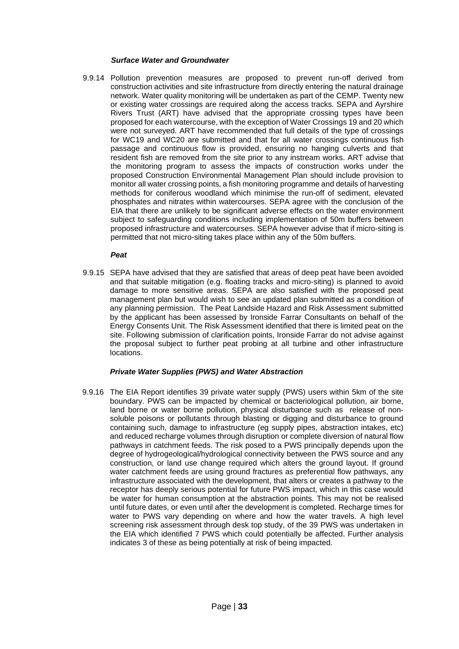#### *Surface Water and Groundwater*

9.9.14 Pollution prevention measures are proposed to prevent run-off derived from construction activities and site infrastructure from directly entering the natural drainage network. Water quality monitoring will be undertaken as part of the CEMP. Twenty new or existing water crossings are required along the access tracks. SEPA and Ayrshire Rivers Trust (ART) have advised that the appropriate crossing types have been proposed for each watercourse, with the exception of Water Crossings 19 and 20 which were not surveyed. ART have recommended that full details of the type of crossings for WC19 and WC20 are submitted and that for all water crossings continuous fish passage and continuous flow is provided, ensuring no hanging culverts and that resident fish are removed from the site prior to any instream works. ART advise that the monitoring program to assess the impacts of construction works under the proposed Construction Environmental Management Plan should include provision to monitor all water crossing points, a fish monitoring programme and details of harvesting methods for coniferous woodland which minimise the run-off of sediment, elevated phosphates and nitrates within watercourses. SEPA agree with the conclusion of the EIA that there are unlikely to be significant adverse effects on the water environment subject to safeguarding conditions including implementation of 50m buffers between proposed infrastructure and watercourses. SEPA however advise that if micro-siting is permitted that not micro-siting takes place within any of the 50m buffers.

#### *Peat*

9.9.15 SEPA have advised that they are satisfied that areas of deep peat have been avoided and that suitable mitigation (e.g. floating tracks and micro-siting) is planned to avoid damage to more sensitive areas. SEPA are also satisfied with the proposed peat management plan but would wish to see an updated plan submitted as a condition of any planning permission. The Peat Landside Hazard and Risk Assessment submitted by the applicant has been assessed by Ironside Farrar Consultants on behalf of the Energy Consents Unit. The Risk Assessment identified that there is limited peat on the site. Following submission of clarification points, Ironside Farrar do not advise against the proposal subject to further peat probing at all turbine and other infrastructure locations.

### *Private Water Supplies (PWS) and Water Abstraction*

9.9.16 The EIA Report identifies 39 private water supply (PWS) users within 5km of the site boundary. PWS can be impacted by chemical or bacteriological pollution, air borne, land borne or water borne pollution, physical disturbance such as release of nonsoluble poisons or pollutants through blasting or digging and disturbance to ground containing such, damage to infrastructure (eg supply pipes, abstraction intakes, etc) and reduced recharge volumes through disruption or complete diversion of natural flow pathways in catchment feeds. The risk posed to a PWS principally depends upon the degree of hydrogeological/hydrological connectivity between the PWS source and any construction, or land use change required which alters the ground layout. If ground water catchment feeds are using ground fractures as preferential flow pathways, any infrastructure associated with the development, that alters or creates a pathway to the receptor has deeply serious potential for future PWS impact, which in this case would be water for human consumption at the abstraction points. This may not be realised until future dates, or even until after the development is completed. Recharge times for water to PWS vary depending on where and how the water travels. A high level screening risk assessment through desk top study, of the 39 PWS was undertaken in the EIA which identified 7 PWS which could potentially be affected. Further analysis indicates 3 of these as being potentially at risk of being impacted.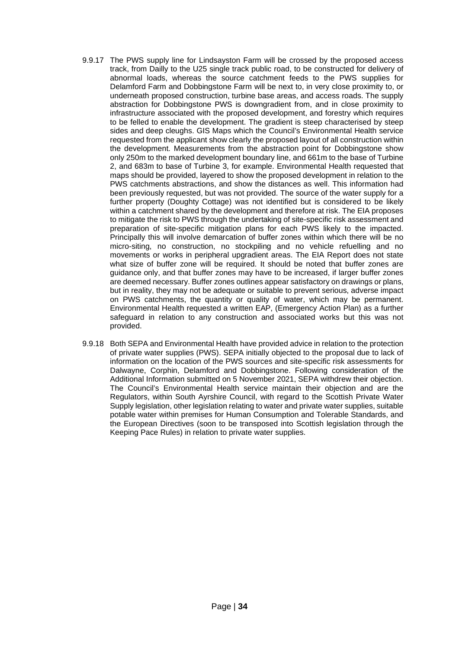- 9.9.17 The PWS supply line for Lindsayston Farm will be crossed by the proposed access track, from Dailly to the U25 single track public road, to be constructed for delivery of abnormal loads, whereas the source catchment feeds to the PWS supplies for Delamford Farm and Dobbingstone Farm will be next to, in very close proximity to, or underneath proposed construction, turbine base areas, and access roads. The supply abstraction for Dobbingstone PWS is downgradient from, and in close proximity to infrastructure associated with the proposed development, and forestry which requires to be felled to enable the development. The gradient is steep characterised by steep sides and deep cleughs. GIS Maps which the Council's Environmental Health service requested from the applicant show clearly the proposed layout of all construction within the development. Measurements from the abstraction point for Dobbingstone show only 250m to the marked development boundary line, and 661m to the base of Turbine 2, and 683m to base of Turbine 3, for example. Environmental Health requested that maps should be provided, layered to show the proposed development in relation to the PWS catchments abstractions, and show the distances as well. This information had been previously requested, but was not provided. The source of the water supply for a further property (Doughty Cottage) was not identified but is considered to be likely within a catchment shared by the development and therefore at risk. The EIA proposes to mitigate the risk to PWS through the undertaking of site-specific risk assessment and preparation of site-specific mitigation plans for each PWS likely to the impacted. Principally this will involve demarcation of buffer zones within which there will be no micro-siting, no construction, no stockpiling and no vehicle refuelling and no movements or works in peripheral upgradient areas. The EIA Report does not state what size of buffer zone will be required. It should be noted that buffer zones are guidance only, and that buffer zones may have to be increased, if larger buffer zones are deemed necessary. Buffer zones outlines appear satisfactory on drawings or plans, but in reality, they may not be adequate or suitable to prevent serious, adverse impact on PWS catchments, the quantity or quality of water, which may be permanent. Environmental Health requested a written EAP, (Emergency Action Plan) as a further safeguard in relation to any construction and associated works but this was not provided.
- 9.9.18 Both SEPA and Environmental Health have provided advice in relation to the protection of private water supplies (PWS). SEPA initially objected to the proposal due to lack of information on the location of the PWS sources and site-specific risk assessments for Dalwayne, Corphin, Delamford and Dobbingstone. Following consideration of the Additional Information submitted on 5 November 2021, SEPA withdrew their objection. The Council's Environmental Health service maintain their objection and are the Regulators, within South Ayrshire Council, with regard to the Scottish Private Water Supply legislation, other legislation relating to water and private water supplies, suitable potable water within premises for Human Consumption and Tolerable Standards, and the European Directives (soon to be transposed into Scottish legislation through the Keeping Pace Rules) in relation to private water supplies.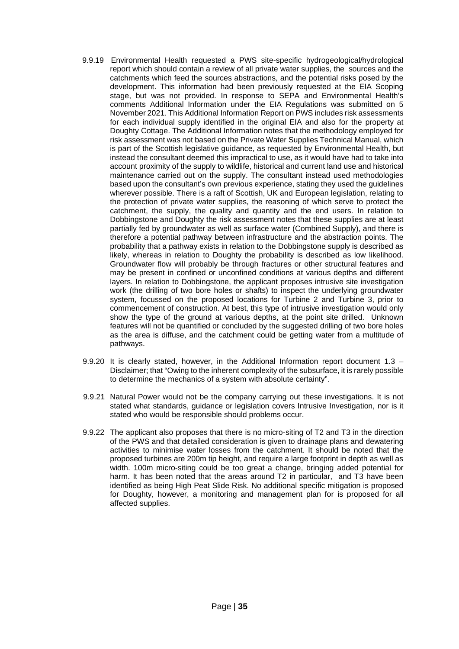- 9.9.19 Environmental Health requested a PWS site-specific hydrogeological/hydrological report which should contain a review of all private water supplies, the sources and the catchments which feed the sources abstractions, and the potential risks posed by the development. This information had been previously requested at the EIA Scoping stage, but was not provided. In response to SEPA and Environmental Health's comments Additional Information under the EIA Regulations was submitted on 5 November 2021. This Additional Information Report on PWS includes risk assessments for each individual supply identified in the original EIA and also for the property at Doughty Cottage. The Additional Information notes that the methodology employed for risk assessment was not based on the Private Water Supplies Technical Manual, which is part of the Scottish legislative guidance, as requested by Environmental Health, but instead the consultant deemed this impractical to use, as it would have had to take into account proximity of the supply to wildlife, historical and current land use and historical maintenance carried out on the supply. The consultant instead used methodologies based upon the consultant's own previous experience, stating they used the guidelines wherever possible. There is a raft of Scottish, UK and European legislation, relating to the protection of private water supplies, the reasoning of which serve to protect the catchment, the supply, the quality and quantity and the end users. In relation to Dobbingstone and Doughty the risk assessment notes that these supplies are at least partially fed by groundwater as well as surface water (Combined Supply), and there is therefore a potential pathway between infrastructure and the abstraction points. The probability that a pathway exists in relation to the Dobbingstone supply is described as likely, whereas in relation to Doughty the probability is described as low likelihood. Groundwater flow will probably be through fractures or other structural features and may be present in confined or unconfined conditions at various depths and different layers. In relation to Dobbingstone, the applicant proposes intrusive site investigation work (the drilling of two bore holes or shafts) to inspect the underlying groundwater system, focussed on the proposed locations for Turbine 2 and Turbine 3, prior to commencement of construction. At best, this type of intrusive investigation would only show the type of the ground at various depths, at the point site drilled. Unknown features will not be quantified or concluded by the suggested drilling of two bore holes as the area is diffuse, and the catchment could be getting water from a multitude of pathways.
- 9.9.20 It is clearly stated, however, in the Additional Information report document 1.3 Disclaimer; that "Owing to the inherent complexity of the subsurface, it is rarely possible to determine the mechanics of a system with absolute certainty".
- 9.9.21 Natural Power would not be the company carrying out these investigations. It is not stated what standards, guidance or legislation covers Intrusive Investigation, nor is it stated who would be responsible should problems occur.
- 9.9.22 The applicant also proposes that there is no micro-siting of T2 and T3 in the direction of the PWS and that detailed consideration is given to drainage plans and dewatering activities to minimise water losses from the catchment. It should be noted that the proposed turbines are 200m tip height, and require a large footprint in depth as well as width. 100m micro-siting could be too great a change, bringing added potential for harm. It has been noted that the areas around T2 in particular, and T3 have been identified as being High Peat Slide Risk. No additional specific mitigation is proposed for Doughty, however, a monitoring and management plan for is proposed for all affected supplies.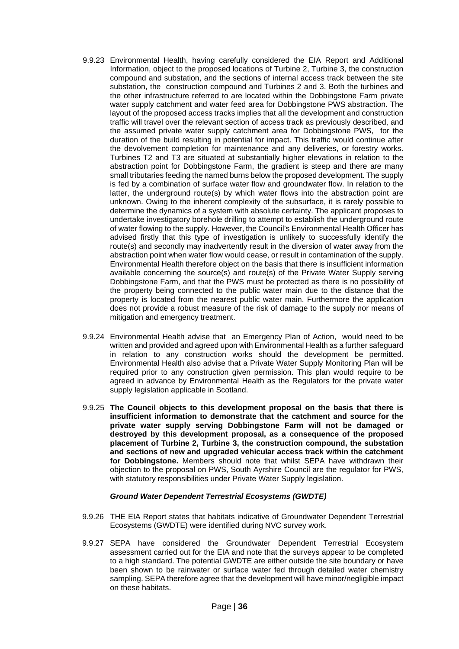- 9.9.23 Environmental Health, having carefully considered the EIA Report and Additional Information, object to the proposed locations of Turbine 2, Turbine 3, the construction compound and substation, and the sections of internal access track between the site substation, the construction compound and Turbines 2 and 3. Both the turbines and the other infrastructure referred to are located within the Dobbingstone Farm private water supply catchment and water feed area for Dobbingstone PWS abstraction. The layout of the proposed access tracks implies that all the development and construction traffic will travel over the relevant section of access track as previously described, and the assumed private water supply catchment area for Dobbingstone PWS, for the duration of the build resulting in potential for impact. This traffic would continue after the devolvement completion for maintenance and any deliveries, or forestry works. Turbines T2 and T3 are situated at substantially higher elevations in relation to the abstraction point for Dobbingstone Farm, the gradient is steep and there are many small tributaries feeding the named burns below the proposed development. The supply is fed by a combination of surface water flow and groundwater flow. In relation to the latter, the underground route(s) by which water flows into the abstraction point are unknown. Owing to the inherent complexity of the subsurface, it is rarely possible to determine the dynamics of a system with absolute certainty. The applicant proposes to undertake investigatory borehole drilling to attempt to establish the underground route of water flowing to the supply. However, the Council's Environmental Health Officer has advised firstly that this type of investigation is unlikely to successfully identify the route(s) and secondly may inadvertently result in the diversion of water away from the abstraction point when water flow would cease, or result in contamination of the supply. Environmental Health therefore object on the basis that there is insufficient information available concerning the source(s) and route(s) of the Private Water Supply serving Dobbingstone Farm, and that the PWS must be protected as there is no possibility of the property being connected to the public water main due to the distance that the property is located from the nearest public water main. Furthermore the application does not provide a robust measure of the risk of damage to the supply nor means of mitigation and emergency treatment.
- 9.9.24 Environmental Health advise that an Emergency Plan of Action, would need to be written and provided and agreed upon with Environmental Health as a further safeguard in relation to any construction works should the development be permitted. Environmental Health also advise that a Private Water Supply Monitoring Plan will be required prior to any construction given permission. This plan would require to be agreed in advance by Environmental Health as the Regulators for the private water supply legislation applicable in Scotland.
- 9.9.25 **The Council objects to this development proposal on the basis that there is insufficient information to demonstrate that the catchment and source for the private water supply serving Dobbingstone Farm will not be damaged or destroyed by this development proposal, as a consequence of the proposed placement of Turbine 2, Turbine 3, the construction compound, the substation and sections of new and upgraded vehicular access track within the catchment for Dobbingstone.** Members should note that whilst SEPA have withdrawn their objection to the proposal on PWS, South Ayrshire Council are the regulator for PWS, with statutory responsibilities under Private Water Supply legislation.

### *Ground Water Dependent Terrestrial Ecosystems (GWDTE)*

- 9.9.26 THE EIA Report states that habitats indicative of Groundwater Dependent Terrestrial Ecosystems (GWDTE) were identified during NVC survey work.
- 9.9.27 SEPA have considered the Groundwater Dependent Terrestrial Ecosystem assessment carried out for the EIA and note that the surveys appear to be completed to a high standard. The potential GWDTE are either outside the site boundary or have been shown to be rainwater or surface water fed through detailed water chemistry sampling. SEPA therefore agree that the development will have minor/negligible impact on these habitats.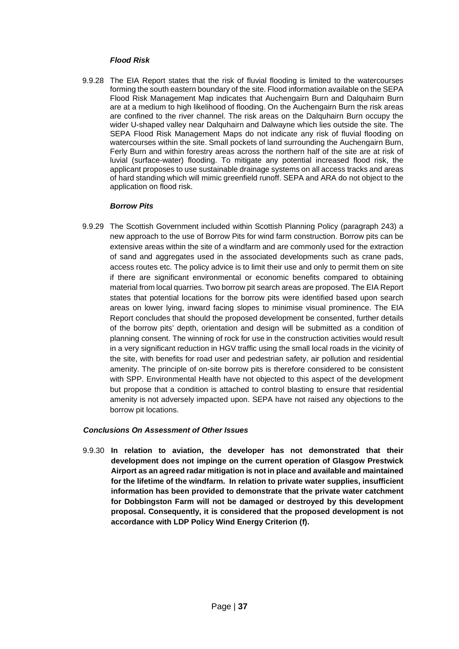### *Flood Risk*

9.9.28 The EIA Report states that the risk of fluvial flooding is limited to the watercourses forming the south eastern boundary of the site. Flood information available on the SEPA Flood Risk Management Map indicates that Auchengairn Burn and Dalquhairn Burn are at a medium to high likelihood of flooding. On the Auchengairn Burn the risk areas are confined to the river channel. The risk areas on the Dalquhairn Burn occupy the wider U-shaped valley near Dalquhairn and Dalwayne which lies outside the site. The SEPA Flood Risk Management Maps do not indicate any risk of fluvial flooding on watercourses within the site. Small pockets of land surrounding the Auchengairn Burn, Ferly Burn and within forestry areas across the northern half of the site are at risk of luvial (surface-water) flooding. To mitigate any potential increased flood risk, the applicant proposes to use sustainable drainage systems on all access tracks and areas of hard standing which will mimic greenfield runoff. SEPA and ARA do not object to the application on flood risk.

# *Borrow Pits*

9.9.29 The Scottish Government included within Scottish Planning Policy (paragraph 243) a new approach to the use of Borrow Pits for wind farm construction. Borrow pits can be extensive areas within the site of a windfarm and are commonly used for the extraction of sand and aggregates used in the associated developments such as crane pads, access routes etc. The policy advice is to limit their use and only to permit them on site if there are significant environmental or economic benefits compared to obtaining material from local quarries. Two borrow pit search areas are proposed. The EIA Report states that potential locations for the borrow pits were identified based upon search areas on lower lying, inward facing slopes to minimise visual prominence. The EIA Report concludes that should the proposed development be consented, further details of the borrow pits' depth, orientation and design will be submitted as a condition of planning consent. The winning of rock for use in the construction activities would result in a very significant reduction in HGV traffic using the small local roads in the vicinity of the site, with benefits for road user and pedestrian safety, air pollution and residential amenity. The principle of on-site borrow pits is therefore considered to be consistent with SPP. Environmental Health have not objected to this aspect of the development but propose that a condition is attached to control blasting to ensure that residential amenity is not adversely impacted upon. SEPA have not raised any objections to the borrow pit locations.

# *Conclusions On Assessment of Other Issues*

9.9.30 **In relation to aviation, the developer has not demonstrated that their development does not impinge on the current operation of Glasgow Prestwick Airport as an agreed radar mitigation is not in place and available and maintained for the lifetime of the windfarm. In relation to private water supplies, insufficient information has been provided to demonstrate that the private water catchment for Dobbingston Farm will not be damaged or destroyed by this development proposal. Consequently, it is considered that the proposed development is not accordance with LDP Policy Wind Energy Criterion (f).**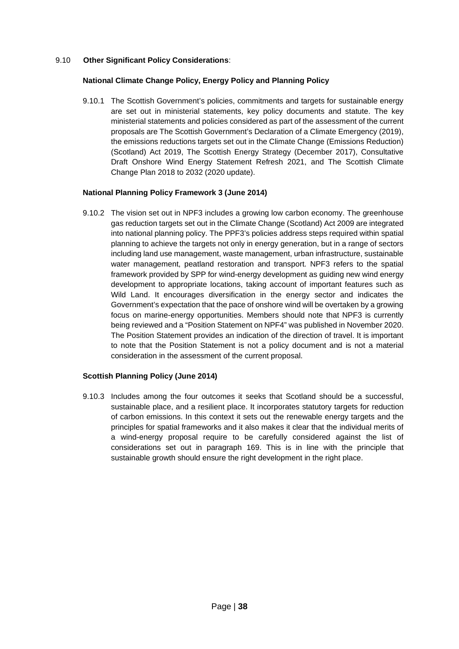# 9.10 **Other Significant Policy Considerations**:

### **National Climate Change Policy, Energy Policy and Planning Policy**

9.10.1 The Scottish Government's policies, commitments and targets for sustainable energy are set out in ministerial statements, key policy documents and statute. The key ministerial statements and policies considered as part of the assessment of the current proposals are The Scottish Government's Declaration of a Climate Emergency (2019), the emissions reductions targets set out in the Climate Change (Emissions Reduction) (Scotland) Act 2019, The Scottish Energy Strategy (December 2017), Consultative Draft Onshore Wind Energy Statement Refresh 2021, and The Scottish Climate Change Plan 2018 to 2032 (2020 update).

### **National Planning Policy Framework 3 (June 2014)**

9.10.2 The vision set out in NPF3 includes a growing low carbon economy. The greenhouse gas reduction targets set out in the Climate Change (Scotland) Act 2009 are integrated into national planning policy. The PPF3's policies address steps required within spatial planning to achieve the targets not only in energy generation, but in a range of sectors including land use management, waste management, urban infrastructure, sustainable water management, peatland restoration and transport. NPF3 refers to the spatial framework provided by SPP for wind-energy development as guiding new wind energy development to appropriate locations, taking account of important features such as Wild Land. It encourages diversification in the energy sector and indicates the Government's expectation that the pace of onshore wind will be overtaken by a growing focus on marine-energy opportunities. Members should note that NPF3 is currently being reviewed and a "Position Statement on NPF4" was published in November 2020. The Position Statement provides an indication of the direction of travel. It is important to note that the Position Statement is not a policy document and is not a material consideration in the assessment of the current proposal.

### **Scottish Planning Policy (June 2014)**

9.10.3 Includes among the four outcomes it seeks that Scotland should be a successful, sustainable place, and a resilient place. It incorporates statutory targets for reduction of carbon emissions. In this context it sets out the renewable energy targets and the principles for spatial frameworks and it also makes it clear that the individual merits of a wind-energy proposal require to be carefully considered against the list of considerations set out in paragraph 169. This is in line with the principle that sustainable growth should ensure the right development in the right place.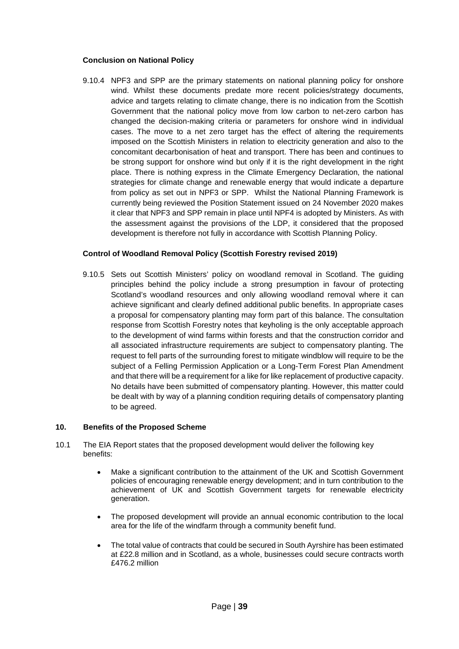### **Conclusion on National Policy**

9.10.4 NPF3 and SPP are the primary statements on national planning policy for onshore wind. Whilst these documents predate more recent policies/strategy documents, advice and targets relating to climate change, there is no indication from the Scottish Government that the national policy move from low carbon to net-zero carbon has changed the decision-making criteria or parameters for onshore wind in individual cases. The move to a net zero target has the effect of altering the requirements imposed on the Scottish Ministers in relation to electricity generation and also to the concomitant decarbonisation of heat and transport. There has been and continues to be strong support for onshore wind but only if it is the right development in the right place. There is nothing express in the Climate Emergency Declaration, the national strategies for climate change and renewable energy that would indicate a departure from policy as set out in NPF3 or SPP. Whilst the National Planning Framework is currently being reviewed the Position Statement issued on 24 November 2020 makes it clear that NPF3 and SPP remain in place until NPF4 is adopted by Ministers. As with the assessment against the provisions of the LDP, it considered that the proposed development is therefore not fully in accordance with Scottish Planning Policy.

# **Control of Woodland Removal Policy (Scottish Forestry revised 2019)**

9.10.5 Sets out Scottish Ministers' policy on woodland removal in Scotland. The guiding principles behind the policy include a strong presumption in favour of protecting Scotland's woodland resources and only allowing woodland removal where it can achieve significant and clearly defined additional public benefits. In appropriate cases a proposal for compensatory planting may form part of this balance. The consultation response from Scottish Forestry notes that keyholing is the only acceptable approach to the development of wind farms within forests and that the construction corridor and all associated infrastructure requirements are subject to compensatory planting. The request to fell parts of the surrounding forest to mitigate windblow will require to be the subject of a Felling Permission Application or a Long-Term Forest Plan Amendment and that there will be a requirement for a like for like replacement of productive capacity. No details have been submitted of compensatory planting. However, this matter could be dealt with by way of a planning condition requiring details of compensatory planting to be agreed.

### **10. Benefits of the Proposed Scheme**

- 10.1 The EIA Report states that the proposed development would deliver the following key benefits:
	- Make a significant contribution to the attainment of the UK and Scottish Government policies of encouraging renewable energy development; and in turn contribution to the achievement of UK and Scottish Government targets for renewable electricity generation.
	- The proposed development will provide an annual economic contribution to the local area for the life of the windfarm through a community benefit fund.
	- The total value of contracts that could be secured in South Ayrshire has been estimated at £22.8 million and in Scotland, as a whole, businesses could secure contracts worth £476.2 million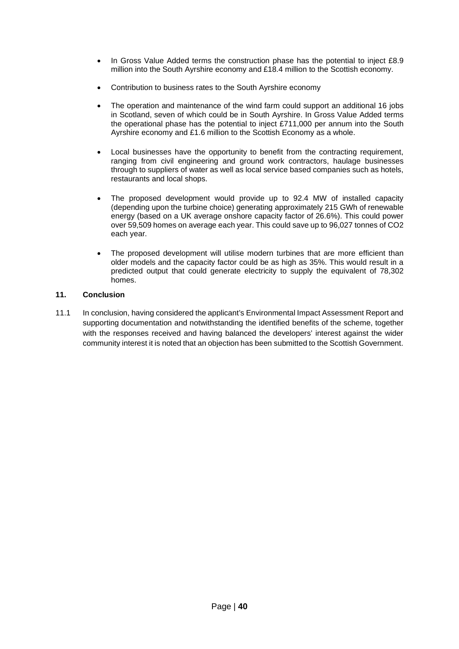- In Gross Value Added terms the construction phase has the potential to inject £8.9 million into the South Ayrshire economy and £18.4 million to the Scottish economy.
- Contribution to business rates to the South Ayrshire economy
- The operation and maintenance of the wind farm could support an additional 16 jobs in Scotland, seven of which could be in South Ayrshire. In Gross Value Added terms the operational phase has the potential to inject £711,000 per annum into the South Ayrshire economy and £1.6 million to the Scottish Economy as a whole.
- Local businesses have the opportunity to benefit from the contracting requirement, ranging from civil engineering and ground work contractors, haulage businesses through to suppliers of water as well as local service based companies such as hotels, restaurants and local shops.
- The proposed development would provide up to 92.4 MW of installed capacity (depending upon the turbine choice) generating approximately 215 GWh of renewable energy (based on a UK average onshore capacity factor of 26.6%). This could power over 59,509 homes on average each year. This could save up to 96,027 tonnes of CO2 each year.
- The proposed development will utilise modern turbines that are more efficient than older models and the capacity factor could be as high as 35%. This would result in a predicted output that could generate electricity to supply the equivalent of 78,302 homes.

# **11. Conclusion**

11.1 In conclusion, having considered the applicant's Environmental Impact Assessment Report and supporting documentation and notwithstanding the identified benefits of the scheme, together with the responses received and having balanced the developers' interest against the wider community interest it is noted that an objection has been submitted to the Scottish Government.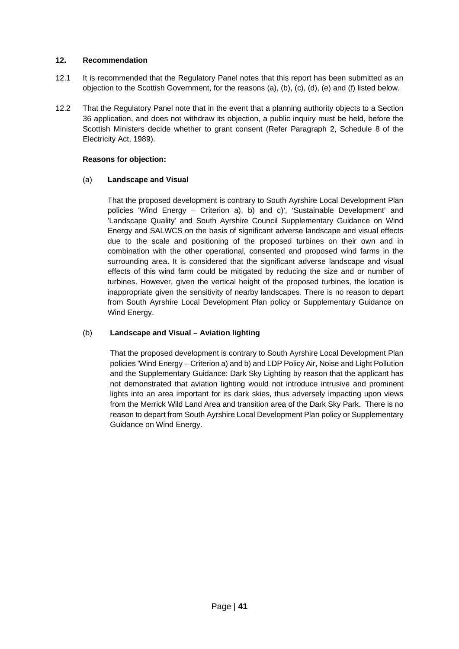# **12. Recommendation**

- 12.1 It is recommended that the Regulatory Panel notes that this report has been submitted as an objection to the Scottish Government, for the reasons (a), (b), (c), (d), (e) and (f) listed below.
- 12.2 That the Regulatory Panel note that in the event that a planning authority objects to a Section 36 application, and does not withdraw its objection, a public inquiry must be held, before the Scottish Ministers decide whether to grant consent (Refer Paragraph 2, Schedule 8 of the Electricity Act, 1989).

# **Reasons for objection:**

# (a) **Landscape and Visual**

That the proposed development is contrary to South Ayrshire Local Development Plan policies 'Wind Energy – Criterion a), b) and c)', 'Sustainable Development' and 'Landscape Quality' and South Ayrshire Council Supplementary Guidance on Wind Energy and SALWCS on the basis of significant adverse landscape and visual effects due to the scale and positioning of the proposed turbines on their own and in combination with the other operational, consented and proposed wind farms in the surrounding area. It is considered that the significant adverse landscape and visual effects of this wind farm could be mitigated by reducing the size and or number of turbines. However, given the vertical height of the proposed turbines, the location is inappropriate given the sensitivity of nearby landscapes. There is no reason to depart from South Ayrshire Local Development Plan policy or Supplementary Guidance on Wind Energy.

# (b) **Landscape and Visual – Aviation lighting**

That the proposed development is contrary to South Ayrshire Local Development Plan policies 'Wind Energy – Criterion a) and b) and LDP Policy Air, Noise and Light Pollution and the Supplementary Guidance: Dark Sky Lighting by reason that the applicant has not demonstrated that aviation lighting would not introduce intrusive and prominent lights into an area important for its dark skies, thus adversely impacting upon views from the Merrick Wild Land Area and transition area of the Dark Sky Park. There is no reason to depart from South Ayrshire Local Development Plan policy or Supplementary Guidance on Wind Energy.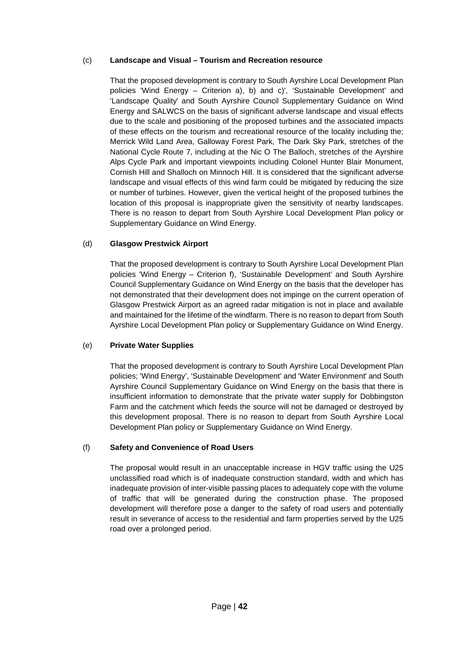# (c) **Landscape and Visual – Tourism and Recreation resource**

That the proposed development is contrary to South Ayrshire Local Development Plan policies 'Wind Energy – Criterion a), b) and c)', 'Sustainable Development' and 'Landscape Quality' and South Ayrshire Council Supplementary Guidance on Wind Energy and SALWCS on the basis of significant adverse landscape and visual effects due to the scale and positioning of the proposed turbines and the associated impacts of these effects on the tourism and recreational resource of the locality including the; Merrick Wild Land Area, Galloway Forest Park, The Dark Sky Park, stretches of the National Cycle Route 7, including at the Nic O The Balloch, stretches of the Ayrshire Alps Cycle Park and important viewpoints including Colonel Hunter Blair Monument, Cornish Hill and Shalloch on Minnoch Hill. It is considered that the significant adverse landscape and visual effects of this wind farm could be mitigated by reducing the size or number of turbines. However, given the vertical height of the proposed turbines the location of this proposal is inappropriate given the sensitivity of nearby landscapes. There is no reason to depart from South Ayrshire Local Development Plan policy or Supplementary Guidance on Wind Energy.

# (d) **Glasgow Prestwick Airport**

That the proposed development is contrary to South Ayrshire Local Development Plan policies 'Wind Energy – Criterion f), 'Sustainable Development' and South Ayrshire Council Supplementary Guidance on Wind Energy on the basis that the developer has not demonstrated that their development does not impinge on the current operation of Glasgow Prestwick Airport as an agreed radar mitigation is not in place and available and maintained for the lifetime of the windfarm. There is no reason to depart from South Ayrshire Local Development Plan policy or Supplementary Guidance on Wind Energy.

# (e) **Private Water Supplies**

That the proposed development is contrary to South Ayrshire Local Development Plan policies; 'Wind Energy', 'Sustainable Development' and 'Water Environment' and South Ayrshire Council Supplementary Guidance on Wind Energy on the basis that there is insufficient information to demonstrate that the private water supply for Dobbingston Farm and the catchment which feeds the source will not be damaged or destroyed by this development proposal. There is no reason to depart from South Ayrshire Local Development Plan policy or Supplementary Guidance on Wind Energy.

### (f) **Safety and Convenience of Road Users**

The proposal would result in an unacceptable increase in HGV traffic using the U25 unclassified road which is of inadequate construction standard, width and which has inadequate provision of inter-visible passing places to adequately cope with the volume of traffic that will be generated during the construction phase. The proposed development will therefore pose a danger to the safety of road users and potentially result in severance of access to the residential and farm properties served by the U25 road over a prolonged period.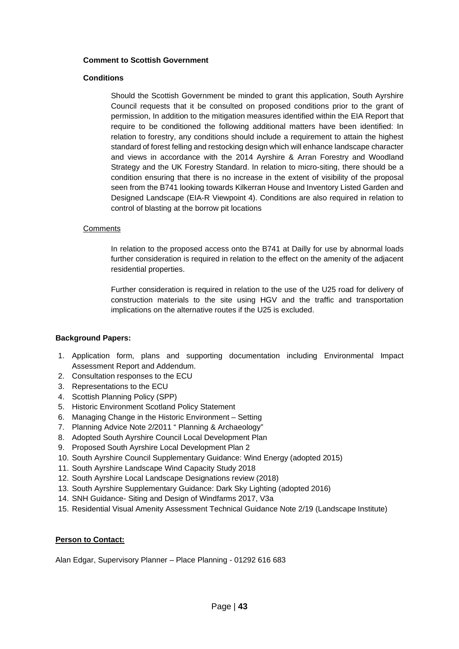#### **Comment to Scottish Government**

#### **Conditions**

Should the Scottish Government be minded to grant this application, South Ayrshire Council requests that it be consulted on proposed conditions prior to the grant of permission, In addition to the mitigation measures identified within the EIA Report that require to be conditioned the following additional matters have been identified: In relation to forestry, any conditions should include a requirement to attain the highest standard of forest felling and restocking design which will enhance landscape character and views in accordance with the 2014 Ayrshire & Arran Forestry and Woodland Strategy and the UK Forestry Standard. In relation to micro-siting, there should be a condition ensuring that there is no increase in the extent of visibility of the proposal seen from the B741 looking towards Kilkerran House and Inventory Listed Garden and Designed Landscape (EIA-R Viewpoint 4). Conditions are also required in relation to control of blasting at the borrow pit locations

#### **Comments**

In relation to the proposed access onto the B741 at Dailly for use by abnormal loads further consideration is required in relation to the effect on the amenity of the adjacent residential properties.

Further consideration is required in relation to the use of the U25 road for delivery of construction materials to the site using HGV and the traffic and transportation implications on the alternative routes if the U25 is excluded.

### **Background Papers:**

- 1. Application form, plans and supporting documentation including Environmental Impact Assessment Report and Addendum.
- 2. Consultation responses to the ECU
- 3. Representations to the ECU
- 4. Scottish Planning Policy (SPP)
- 5. Historic Environment Scotland Policy Statement
- 6. Managing Change in the Historic Environment Setting
- 7. Planning Advice Note 2/2011 " Planning & Archaeology"
- 8. Adopted South Ayrshire Council Local Development Plan
- 9. Proposed South Ayrshire Local Development Plan 2
- 10. South Ayrshire Council Supplementary Guidance: Wind Energy (adopted 2015)
- 11. South Ayrshire Landscape Wind Capacity Study 2018
- 12. South Ayrshire Local Landscape Designations review (2018)
- 13. South Ayrshire Supplementary Guidance: Dark Sky Lighting (adopted 2016)
- 14. SNH Guidance- Siting and Design of Windfarms 2017, V3a
- 15. Residential Visual Amenity Assessment Technical Guidance Note 2/19 (Landscape Institute)

### **Person to Contact:**

Alan Edgar, Supervisory Planner – Place Planning - 01292 616 683